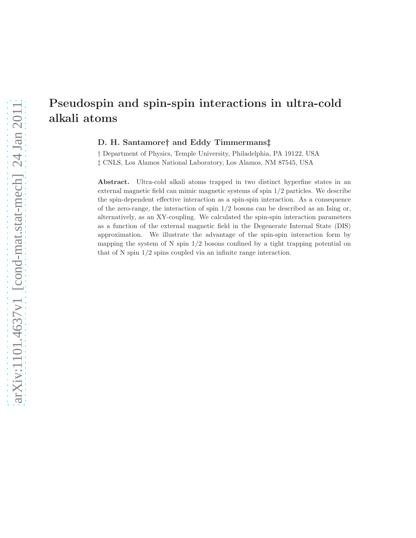# arXiv:1101.4637 $v1$  [cond-mat.stat-mech] 24 Jan 2011 arXiv:1101.4637v1 [cond-mat.stat-mech]  $24$  Jan 2011

# Pseudospin and spin-spin interactions in ultra-cold alkali atoms

D. H. Santamore† and Eddy Timmermans‡

† Department of Physics, Temple University, Philadelphia, PA 19122, USA ‡ CNLS, Los Alamos National Laboratory, Los Alamos, NM 87545, USA

Abstract. Ultra-cold alkali atoms trapped in two distinct hyperfine states in an external magnetic field can mimic magnetic systems of spin 1/2 particles. We describe the spin-dependent effective interaction as a spin-spin interaction. As a consequence of the zero-range, the interaction of spin 1/2 bosons can be described as an Ising or, alternatively, as an XY-coupling. We calculated the spin-spin interaction parameters as a function of the external magnetic field in the Degenerate Internal State (DIS) approximation. We illustrate the advantage of the spin-spin interaction form by mapping the system of N spin  $1/2$  bosons confined by a tight trapping potential on that of N spin 1/2 spins coupled via an infinite range interaction.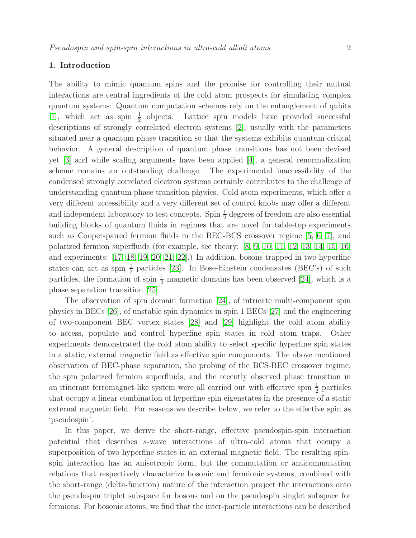## 1. Introduction

The ability to mimic quantum spins and the promise for controlling their mutual interactions are central ingredients of the cold atom prospects for simulating complex quantum systems: Quantum computation schemes rely on the entanglement of qubits [\[1\]](#page-22-0), which act as spin  $\frac{1}{2}$  objects. Lattice spin models have provided successful descriptions of strongly correlated electron systems [\[2\]](#page-22-1), usually with the parameters situated near a quantum phase transition so that the systems exhibits quantum critical behavior. A general description of quantum phase transitions has not been devised yet [\[3\]](#page-22-2) and while scaling arguments have been applied [\[4\]](#page-22-3), a general renormalization scheme remains an outstanding challenge. The experimental inaccessibility of the condensed strongly correlated electron systems certainly contributes to the challenge of understanding quantum phase transition physics. Cold atom experiments, which offer a very different accessibility and a very different set of control knobs may offer a different and independent laboratory to test concepts. Spin  $\frac{1}{2}$  degrees of freedom are also essential building blocks of quantum fluids in regimes that are novel for table-top experiments such as Cooper-paired fermion fluids in the BEC-BCS crossover regime [\[5,](#page-22-4) [6,](#page-22-5) [7\]](#page-22-6), and polarized fermion superfluids (for example, see theory: [\[8,](#page-22-7) [9,](#page-22-8) [10,](#page-22-9) [11,](#page-22-10) [12,](#page-22-11) [13,](#page-22-12) [14,](#page-22-13) [15,](#page-22-14) [16\]](#page-22-15) and experiments: [\[17,](#page-22-16) [18,](#page-22-17) [19,](#page-22-18) [20,](#page-22-19) [21,](#page-22-20) [22\]](#page-22-21).) In addition, bosons trapped in two hyperfine states can act as spin  $\frac{1}{2}$  particles [\[23\]](#page-22-22). In Bose-Einstein condensates (BEC's) of such particles, the formation of spin  $\frac{1}{2}$  magnetic domains has been observed [\[24\]](#page-23-0), which is a phase separation transition [\[25\]](#page-23-1).

The observation of spin domain formation [\[24\]](#page-23-0), of intricate multi-component spin physics in BECs [\[26\]](#page-23-2), of unstable spin dynamics in spin 1 BECs [\[27\]](#page-23-3) and the engineering of two-component BEC vortex states [\[28\]](#page-23-4) and [\[29\]](#page-23-5) highlight the cold atom ability to access, populate and control hyperfine spin states in cold atom traps. Other experiments demonstrated the cold atom ability to select specific hyperfine spin states in a static, external magnetic field as effective spin components: The above mentioned observation of BEC-phase separation, the probing of the BCS-BEC crossover regime, the spin polarized fermion superfluids, and the recently observed phase transition in an itinerant ferromagnet-like system were all carried out with effective spin  $\frac{1}{2}$  particles that occupy a linear combination of hyperfine spin eigenstates in the presence of a static external magnetic field. For reasons we describe below, we refer to the effective spin as 'pseudospin'.

In this paper, we derive the short-range, effective pseudospin-spin interaction potential that describes s-wave interactions of ultra-cold atoms that occupy a superposition of two hyperfine states in an external magnetic field. The resulting spinspin interaction has an anisotropic form, but the commutation or anticommutation relations that respectively characterize bosonic and fermionic systems, combined with the short-range (delta-function) nature of the interaction project the interactions onto the pseudospin triplet subspace for bosons and on the pseudospin singlet subspace for fermions. For bosonic atoms, we find that the inter-particle interactions can be described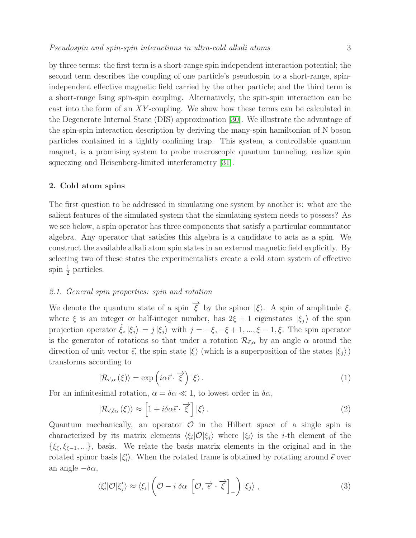by three terms: the first term is a short-range spin independent interaction potential; the second term describes the coupling of one particle's pseudospin to a short-range, spinindependent effective magnetic field carried by the other particle; and the third term is a short-range Ising spin-spin coupling. Alternatively, the spin-spin interaction can be cast into the form of an XY -coupling. We show how these terms can be calculated in the Degenerate Internal State (DIS) approximation [\[30\]](#page-23-6). We illustrate the advantage of the spin-spin interaction description by deriving the many-spin hamiltonian of N boson particles contained in a tightly confining trap. This system, a controllable quantum magnet, is a promising system to probe macroscopic quantum tunneling, realize spin squeezing and Heisenberg-limited interferometry [\[31\]](#page-23-7).

### 2. Cold atom spins

The first question to be addressed in simulating one system by another is: what are the salient features of the simulated system that the simulating system needs to possess? As we see below, a spin operator has three components that satisfy a particular commutator algebra. Any operator that satisfies this algebra is a candidate to acts as a spin. We construct the available alkali atom spin states in an external magnetic field explicitly. By selecting two of these states the experimentalists create a cold atom system of effective spin  $\frac{1}{2}$  particles.

### 2.1. General spin properties: spin and rotation

We denote the quantum state of a spin  $\overrightarrow{\xi}$  by the spinor  $|\xi\rangle$ . A spin of amplitude  $\xi$ , where  $\xi$  is an integer or half-integer number, has  $2\xi + 1$  eigenstates  $|\xi_i\rangle$  of the spin projection operator  $\xi_z |\xi_j\rangle = j |\xi_j\rangle$  with  $j = -\xi, -\xi + 1, ..., \xi - 1, \xi$ . The spin operator is the generator of rotations so that under a rotation  $\mathcal{R}_{\vec{\epsilon},\alpha}$  by an angle  $\alpha$  around the direction of unit vector  $\vec{\epsilon}$ , the spin state  $|\xi\rangle$  (which is a superposition of the states  $|\xi_i\rangle$ ) transforms according to

<span id="page-2-0"></span>
$$
|\mathcal{R}_{\vec{\epsilon},\alpha}(\xi)\rangle = \exp\left(i\alpha\vec{\epsilon}\cdot\vec{\xi}\right)|\xi\rangle.
$$
 (1)

For an infinitesimal rotation,  $\alpha = \delta \alpha \ll 1$ , to lowest order in  $\delta \alpha$ ,

$$
|\mathcal{R}_{\vec{\epsilon},\delta\alpha}(\xi)\rangle \approx \left[1 + i\delta\alpha\vec{\epsilon}\cdot\vec{\xi}\right]|\xi\rangle.
$$
 (2)

Quantum mechanically, an operator  $\mathcal O$  in the Hilbert space of a single spin is characterized by its matrix elements  $\langle \xi_i | \mathcal{O} | \xi_j \rangle$  where  $| \xi_i \rangle$  is the *i*-th element of the  $\{\xi_{\xi}, \xi_{\xi-1}, ...\}$ , basis. We relate the basis matrix elements in the original and in the rotated spinor basis  $|\xi'_i\rangle$ . When the rotated frame is obtained by rotating around  $\vec{\epsilon}$  over an angle  $-\delta\alpha$ ,

$$
\langle \xi'_i | \mathcal{O} | \xi'_j \rangle \approx \langle \xi_i | \left( \mathcal{O} - i \, \delta \alpha \, \left[ \mathcal{O}, \overrightarrow{\epsilon} \cdot \overrightarrow{\xi} \right]_{-} \right) | \xi_j \rangle \,, \tag{3}
$$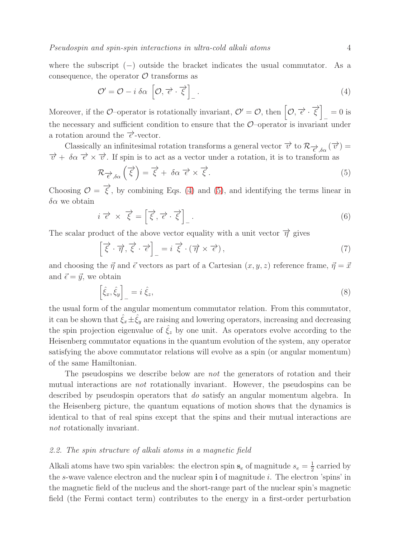where the subscript  $(-)$  outside the bracket indicates the usual commutator. As a consequence, the operator  $\mathcal O$  transforms as

<span id="page-3-0"></span>
$$
\mathcal{O}' = \mathcal{O} - i \, \delta \alpha \, \left[ \mathcal{O}, \overrightarrow{\epsilon} \cdot \overrightarrow{\xi} \right]_{-} . \tag{4}
$$

Moreover, if the O–operator is rotationally invariant,  $\mathcal{O}' = \mathcal{O}$ , then  $\left[\mathcal{O}, \overrightarrow{\epsilon} \cdot \overrightarrow{\xi}\right]_{-} = 0$  is the necessary and sufficient condition to ensure that the  $\mathcal{O}-\text{operator}$  is invariant under a rotation around the  $\vec{\epsilon}$ -vector.

Classically an infinitesimal rotation transforms a general vector  $\vec{v}$  to  $\mathcal{R}_{\vec{e},\delta\alpha}(\vec{v}) =$  $\vec{v} + \delta \alpha \vec{\epsilon} \times \vec{v}$ . If spin is to act as a vector under a rotation, it is to transform as

<span id="page-3-1"></span>
$$
\mathcal{R}_{\overrightarrow{\epsilon},\delta\alpha}\left(\overrightarrow{\xi}\right) = \overrightarrow{\xi} + \delta\alpha \overrightarrow{\epsilon} \times \overrightarrow{\xi}.
$$
\n(5)

Choosing  $\mathcal{O} = \vec{\xi}$ , by combining Eqs. [\(4\)](#page-3-0) and [\(5\)](#page-3-1), and identifying the terms linear in  $\delta \alpha$  we obtain

$$
i \vec{\epsilon} \times \vec{\xi} = \left[ \vec{\xi}, \vec{\epsilon} \cdot \vec{\xi} \right]_{-}.
$$
 (6)

The scalar product of the above vector equality with a unit vector  $\overrightarrow{\eta}$  gives

$$
\left[\vec{\xi}\cdot\vec{\eta},\vec{\xi}\cdot\vec{\epsilon}\right]_{-} = i\vec{\xi}\cdot(\vec{\eta}\times\vec{\epsilon}),\tag{7}
$$

and choosing the  $\vec{\eta}$  and  $\vec{\epsilon}$  vectors as part of a Cartesian  $(x, y, z)$  reference frame,  $\vec{\eta} = \vec{x}$ and  $\vec{\epsilon} = \vec{y}$ , we obtain

<span id="page-3-2"></span>
$$
\left[\hat{\xi}_x, \hat{\xi}_y\right]_-=i\,\hat{\xi}_z,\tag{8}
$$

the usual form of the angular momentum commutator relation. From this commutator, it can be shown that  $\hat{\xi}_x \pm \hat{\xi}_y$  are raising and lowering operators, increasing and decreasing the spin projection eigenvalue of  $\hat{\xi}_z$  by one unit. As operators evolve according to the Heisenberg commutator equations in the quantum evolution of the system, any operator satisfying the above commutator relations will evolve as a spin (or angular momentum) of the same Hamiltonian.

The pseudospins we describe below are not the generators of rotation and their mutual interactions are not rotationally invariant. However, the pseudospins can be described by pseudospin operators that do satisfy an angular momentum algebra. In the Heisenberg picture, the quantum equations of motion shows that the dynamics is identical to that of real spins except that the spins and their mutual interactions are not rotationally invariant.

### 2.2. The spin structure of alkali atoms in a magnetic field

Alkali atoms have two spin variables: the electron spin  $s_e$  of magnitude  $s_e = \frac{1}{2}$  $\frac{1}{2}$  carried by the s-wave valence electron and the nuclear spin  $\mathbf i$  of magnitude i. The electron 'spins' in the magnetic field of the nucleus and the short-range part of the nuclear spin's magnetic field (the Fermi contact term) contributes to the energy in a first-order perturbation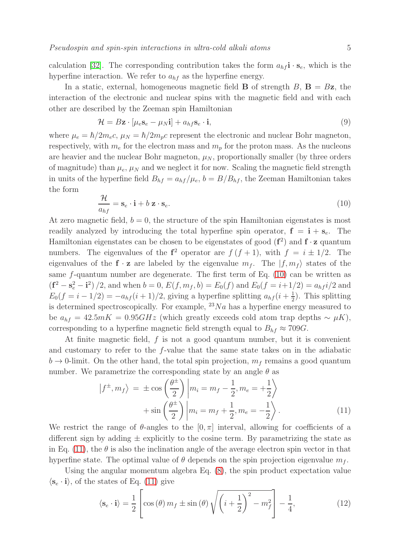calculation [\[32\]](#page-23-8). The corresponding contribution takes the form  $a_{hf}$ **i**  $\cdot$  **s**<sub>e</sub>, which is the hyperfine interaction. We refer to  $a_{hf}$  as the hyperfine energy.

In a static, external, homogeneous magnetic field **B** of strength  $B$ , **B** =  $Bz$ , the interaction of the electronic and nuclear spins with the magnetic field and with each other are described by the Zeeman spin Hamiltonian

$$
\mathcal{H} = B\mathbf{z} \cdot [\mu_e \mathbf{s}_e - \mu_N \mathbf{i}] + a_{hf} \mathbf{s}_e \cdot \mathbf{i},\tag{9}
$$

where  $\mu_e = \hbar/2m_e c$ ,  $\mu_N = \hbar/2m_p c$  represent the electronic and nuclear Bohr magneton, respectively, with  $m_e$  for the electron mass and  $m_p$  for the proton mass. As the nucleons are heavier and the nuclear Bohr magneton,  $\mu_N$ , proportionally smaller (by three orders of magnitude) than  $\mu_e$ ,  $\mu_N$  and we neglect it for now. Scaling the magnetic field strength in units of the hyperfine field  $B_{hf} = a_{hf}/\mu_e$ ,  $b = B/B_{hf}$ , the Zeeman Hamiltonian takes the form

<span id="page-4-0"></span>
$$
\frac{\mathcal{H}}{a_{hf}} = \mathbf{s}_e \cdot \mathbf{i} + b \mathbf{z} \cdot \mathbf{s}_e. \tag{10}
$$

At zero magnetic field,  $b = 0$ , the structure of the spin Hamiltonian eigenstates is most readily analyzed by introducing the total hyperfine spin operator,  $f = i + s_e$ . The Hamiltonian eigenstates can be chosen to be eigenstates of good  $(f^2)$  and  $f \cdot z$  quantum numbers. The eigenvalues of the  $f^2$  operator are  $f(f + 1)$ , with  $f = i \pm 1/2$ . The eigenvalues of the  $f \cdot z$  are labeled by the eigenvalue  $m_f$ . The  $|f, m_f\rangle$  states of the same  $f$ -quantum number are degenerate. The first term of Eq. [\(10\)](#page-4-0) can be written as  $(f^2 - s_e^2 - i^2)/2$ , and when  $b = 0$ ,  $E(f, m_f, b) = E_0(f)$  and  $E_0(f = i + 1/2) = a_{hf}i/2$  and  $E_0(f = i - 1/2) = -a_{hf}(i + 1)/2$ , giving a hyperfine splitting  $a_{hf}(i + \frac{1}{2})$  $\frac{1}{2}$ ). This splitting is determined spectroscopically. For example,  $^{23}Na$  has a hyperfine energy measured to be  $a_{hf} = 42.5mK = 0.95GHz$  (which greatly exceeds cold atom trap depths ~  $\mu$ K), corresponding to a hyperfine magnetic field strength equal to  $B_{hf} \approx 709G$ .

At finite magnetic field,  $f$  is not a good quantum number, but it is convenient and customary to refer to the f-value that the same state takes on in the adiabatic  $b \to 0$ -limit. On the other hand, the total spin projection,  $m<sub>f</sub>$  remains a good quantum number. We parametrize the corresponding state by an angle  $\theta$  as

<span id="page-4-1"></span>
$$
\left| f^{\pm}, m_f \right\rangle = \pm \cos \left( \frac{\theta^{\pm}}{2} \right) \left| m_i = m_f - \frac{1}{2}, m_e = +\frac{1}{2} \right\rangle + \sin \left( \frac{\theta^{\pm}}{2} \right) \left| m_i = m_f + \frac{1}{2}, m_e = -\frac{1}{2} \right\rangle.
$$
 (11)

We restrict the range of  $\theta$ -angles to the  $[0, \pi]$  interval, allowing for coefficients of a different sign by adding  $\pm$  explicitly to the cosine term. By parametrizing the state as in Eq. [\(11\)](#page-4-1), the  $\theta$  is also the inclination angle of the average electron spin vector in that hyperfine state. The optimal value of  $\theta$  depends on the spin projection eigenvalue  $m_f$ .

Using the angular momentum algebra Eq. [\(8\)](#page-3-2), the spin product expectation value  $\langle \mathbf{s}_{e} \cdot \mathbf{i} \rangle$ , of the states of Eq. [\(11\)](#page-4-1) give

$$
\langle \mathbf{s}_e \cdot \mathbf{i} \rangle = \frac{1}{2} \left[ \cos \left( \theta \right) m_f \pm \sin \left( \theta \right) \sqrt{\left( i + \frac{1}{2} \right)^2 - m_f^2} \right] - \frac{1}{4},\tag{12}
$$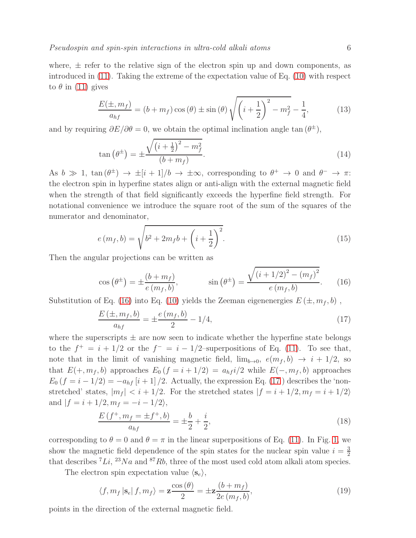where,  $\pm$  refer to the relative sign of the electron spin up and down components, as introduced in [\(11\)](#page-4-1). Taking the extreme of the expectation value of Eq. [\(10\)](#page-4-0) with respect to  $\theta$  in [\(11\)](#page-4-1) gives

$$
\frac{E(\pm, m_f)}{a_{hf}} = (b + m_f) \cos(\theta) \pm \sin(\theta) \sqrt{\left(i + \frac{1}{2}\right)^2 - m_f^2} - \frac{1}{4},\tag{13}
$$

and by requiring  $\partial E/\partial \theta = 0$ , we obtain the optimal inclination angle tan  $(\theta^{\pm})$ ,

$$
\tan\left(\theta^{\pm}\right) = \pm \frac{\sqrt{\left(i + \frac{1}{2}\right)^2 - m_f^2}}{(b + m_f)}.
$$
\n(14)

As  $b \gg 1$ ,  $\tan(\theta^{\pm}) \rightarrow \pm [i+1]/b \rightarrow \pm \infty$ , corresponding to  $\theta^+ \rightarrow 0$  and  $\theta^- \rightarrow \pi$ : the electron spin in hyperfine states align or anti-align with the external magnetic field when the strength of that field significantly exceeds the hyperfine field strength. For notational convenience we introduce the square root of the sum of the squares of the numerator and denominator,

$$
e(m_f, b) = \sqrt{b^2 + 2m_f b + \left(i + \frac{1}{2}\right)^2}.
$$
\n(15)

Then the angular projections can be written as

<span id="page-5-0"></span>
$$
\cos\left(\theta^{\pm}\right) = \pm \frac{\left(b + m_f\right)}{e\left(m_f, b\right)}, \qquad \sin\left(\theta^{\pm}\right) = \frac{\sqrt{\left(i + 1/2\right)^2 - \left(m_f\right)^2}}{e\left(m_f, b\right)}.\tag{16}
$$

Substitution of Eq. [\(16\)](#page-5-0) into Eq. [\(10\)](#page-4-0) yields the Zeeman eigenenergies  $E(\pm, m_f, b)$ ,

<span id="page-5-1"></span>
$$
\frac{E(\pm, m_f, b)}{a_{hf}} = \pm \frac{e(m_f, b)}{2} - 1/4,
$$
\n(17)

where the superscripts  $\pm$  are now seen to indicate whether the hyperfine state belongs to the  $f^+ = i + 1/2$  or the  $f^- = i - 1/2$ -superpositions of Eq. [\(11\)](#page-4-1). To see that, note that in the limit of vanishing magnetic field,  $\lim_{b\to 0} e(m_f, b) \to i + 1/2$ , so that  $E(+, m_f, b)$  approaches  $E_0$   $(f = i + 1/2) = a_{hf} i/2$  while  $E(-, m_f, b)$  approaches  $E_0$   $(f = i - 1/2) = -a_{hf} [i + 1]/2$ . Actually, the expression Eq. [\(17](#page-5-1)) describes the 'nonstretched' states,  $|m_f| < i + 1/2$ . For the stretched states  $|f = i + 1/2, m_f = i + 1/2\rangle$ and  $|f = i + 1/2, m_f = -i - 1/2\rangle$ ,

$$
\frac{E\left(f^{+}, m_{f} = \pm f^{+}, b\right)}{a_{hf}} = \pm \frac{b}{2} + \frac{i}{2},\tag{18}
$$

corresponding to  $\theta = 0$  and  $\theta = \pi$  in the linear superpositions of Eq. [\(11\)](#page-4-1). In Fig. [1,](#page-6-0) we show the magnetic field dependence of the spin states for the nuclear spin value  $i = \frac{3}{2}$ 2 that describes  ${}^{7}Li$ ,  ${}^{23}Na$  and  ${}^{87}Rb$ , three of the most used cold atom alkali atom species.

The electron spin expectation value  $\langle s_e \rangle$ ,

<span id="page-5-2"></span>
$$
\langle f, m_f | \mathbf{s}_e | f, m_f \rangle = \mathbf{z} \frac{\cos(\theta)}{2} = \pm \mathbf{z} \frac{(b + m_f)}{2e(m_f, b)},\tag{19}
$$

points in the direction of the external magnetic field.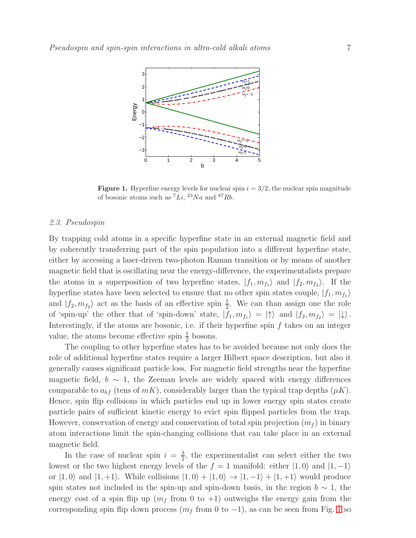

<span id="page-6-0"></span>**Figure 1.** Hyperfine energy levels for nuclear spin  $i = 3/2$ , the nuclear spin magnitude of bosonic atoms such as  ${}^{7}Li$ ,  ${}^{23}Na$  and  ${}^{87}Rb$ .

### 2.3. Pseudospin

By trapping cold atoms in a specific hyperfine state in an external magnetic field and by coherently transferring part of the spin population into a different hyperfine state, either by accessing a laser-driven two-photon Raman transition or by means of another magnetic field that is oscillating near the energy-difference, the experimentalists prepare the atoms in a superposition of two hyperfine states,  $|f_1, m_{f_1}\rangle$  and  $|f_2, m_{f_2}\rangle$ . If the hyperfine states have been selected to ensure that no other spin states couple,  $|f_1, m_{f_1}\rangle$ and  $|f_2, m_{f_2}\rangle$  act as the basis of an effective spin  $\frac{1}{2}$ . We can than assign one the role of 'spin-up' the other that of 'spin-down' state,  $|f_1, m_{f_1}\rangle = |\uparrow\rangle$  and  $|f_2, m_{f_2}\rangle = |\downarrow\rangle$ . Interestingly, if the atoms are bosonic, i.e. if their hyperfine spin  $f$  takes on an integer value, the atoms become effective spin  $\frac{1}{2}$  bosons.

The coupling to other hyperfine states has to be avoided because not only does the role of additional hyperfine states require a larger Hilbert space description, but also it generally causes significant particle loss. For magnetic field strengths near the hyperfine magnetic field,  $b \sim 1$ , the Zeeman levels are widely spaced with energy differences comparable to  $a_{hf}$  (tens of  $mK$ ), considerably larger than the typical trap depths  $(\mu K)$ . Hence, spin flip collisions in which particles end up in lower energy spin states create particle pairs of sufficient kinetic energy to evict spin flipped particles from the trap. However, conservation of energy and conservation of total spin projection  $(m_f)$  in binary atom interactions limit the spin-changing collisions that can take place in an external magnetic field.

In the case of nuclear spin  $i = \frac{3}{2}$  $\frac{3}{2}$ , the experimentalist can select either the two lowest or the two highest energy levels of the  $f = 1$  manifold: either  $|1, 0\rangle$  and  $|1, -1\rangle$ or  $|1, 0\rangle$  and  $|1, +1\rangle$ . While collisions  $|1, 0\rangle + |1, 0\rangle \rightarrow |1, -1\rangle + |1, +1\rangle$  would produce spin states not included in the spin-up and spin-down basis, in the region  $b \sim 1$ , the energy cost of a spin flip up  $(m_f \text{ from } 0 \text{ to } +1)$  outweighs the energy gain from the corresponding spin flip down process  $(m_f \text{ from } 0 \text{ to } -1)$ , as can be seen from Fig. [1](#page-6-0) so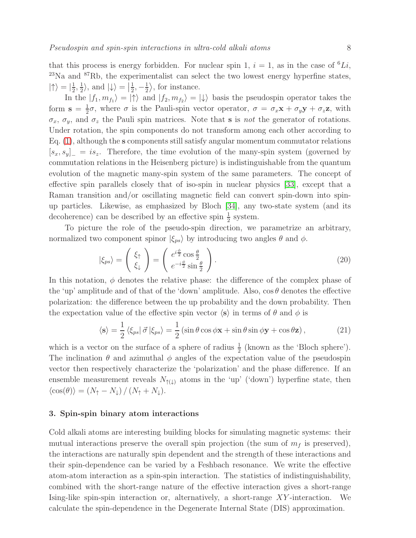that this process is energy forbidden. For nuclear spin 1,  $i = 1$ , as in the case of <sup>6</sup>Li,  $^{23}$ Na and  $^{87}$ Rb, the experimentalist can select the two lowest energy hyperfine states,  $\left|\uparrow\right\rangle = \left|\frac{1}{2}\right|$  $\frac{1}{2}, \frac{1}{2}$  $\frac{1}{2}$ , and  $\ket{\downarrow} = \frac{1}{2}$  $\frac{1}{2}, -\frac{1}{2}$  $\frac{1}{2}$ , for instance.

In the  $|f_1, m_{f_1}\rangle = |\uparrow\rangle$  and  $|f_2, m_{f_2}\rangle = |\downarrow\rangle$  basis the pseudospin operator takes the form  $s = \frac{1}{2}$  $\frac{1}{2}\sigma$ , where  $\sigma$  is the Pauli-spin vector operator,  $\sigma = \sigma_x \mathbf{x} + \sigma_y \mathbf{y} + \sigma_z \mathbf{z}$ , with  $\sigma_x$ ,  $\sigma_y$ , and  $\sigma_z$  the Pauli spin matrices. Note that **s** is not the generator of rotations. Under rotation, the spin components do not transform among each other according to Eq. [\(1\)](#page-2-0), although the s components still satisfy angular momentum commutator relations  $[s_x, s_y]_ = is_z$ . Therefore, the time evolution of the many-spin system (governed by commutation relations in the Heisenberg picture) is indistinguishable from the quantum evolution of the magnetic many-spin system of the same parameters. The concept of effective spin parallels closely that of iso-spin in nuclear physics [\[33\]](#page-23-9), except that a Raman transition and/or oscillating magnetic field can convert spin-down into spinup particles. Likewise, as emphasized by Bloch [\[34\]](#page-23-10), any two-state system (and its decoherence) can be described by an effective spin  $\frac{1}{2}$  system.

To picture the role of the pseudo-spin direction, we parametrize an arbitrary, normalized two component spinor  $|\xi_{ps}\rangle$  by introducing two angles  $\theta$  and  $\phi$ .

$$
|\xi_{ps}\rangle = \begin{pmatrix} \xi_{\uparrow} \\ \xi_{\downarrow} \end{pmatrix} = \begin{pmatrix} e^{i\frac{\phi}{2}}\cos\frac{\theta}{2} \\ e^{-i\frac{\phi}{2}}\sin\frac{\theta}{2} \end{pmatrix}.
$$
 (20)

In this notation,  $\phi$  denotes the relative phase: the difference of the complex phase of the 'up' amplitude and of that of the 'down' amplitude. Also,  $\cos \theta$  denotes the effective polarization: the difference between the up probability and the down probability. Then the expectation value of the effective spin vector  $\langle s \rangle$  in terms of  $\theta$  and  $\phi$  is

$$
\langle \mathbf{s} \rangle = \frac{1}{2} \langle \xi_{ps} | \vec{\sigma} | \xi_{ps} \rangle = \frac{1}{2} \left( \sin \theta \cos \phi \mathbf{x} + \sin \theta \sin \phi \mathbf{y} + \cos \theta \mathbf{z} \right), \tag{21}
$$

which is a vector on the surface of a sphere of radius  $\frac{1}{2}$  (known as the 'Bloch sphere'). The inclination  $\theta$  and azimuthal  $\phi$  angles of the expectation value of the pseudospin vector then respectively characterize the 'polarization' and the phase difference. If an ensemble measurement reveals  $N_{\uparrow(\downarrow)}$  atoms in the 'up' ('down') hyperfine state, then  $\langle \cos(\theta) \rangle = (N_{\uparrow} - N_{\downarrow}) / (N_{\uparrow} + N_{\downarrow}).$ 

### 3. Spin-spin binary atom interactions

Cold alkali atoms are interesting building blocks for simulating magnetic systems: their mutual interactions preserve the overall spin projection (the sum of  $m_f$  is preserved), the interactions are naturally spin dependent and the strength of these interactions and their spin-dependence can be varied by a Feshbach resonance. We write the effective atom-atom interaction as a spin-spin interaction. The statistics of indistinguishability, combined with the short-range nature of the effective interaction gives a short-range Ising-like spin-spin interaction or, alternatively, a short-range XY -interaction. We calculate the spin-dependence in the Degenerate Internal State (DIS) approximation.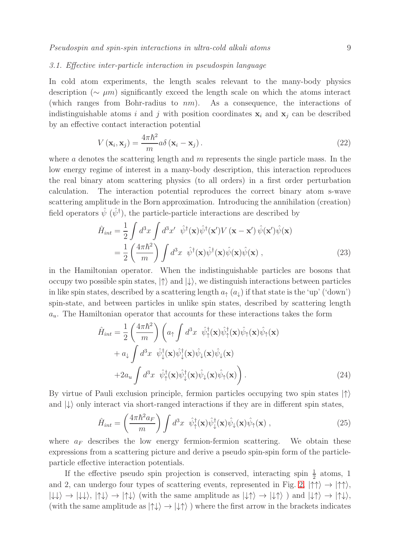### 3.1. Effective inter-particle interaction in pseudospin language

In cold atom experiments, the length scales relevant to the many-body physics description ( $\sim \mu m$ ) significantly exceed the length scale on which the atoms interact (which ranges from Bohr-radius to  $nm$ ). As a consequence, the interactions of indistinguishable atoms i and j with position coordinates  $x_i$  and  $x_j$  can be described by an effective contact interaction potential

<span id="page-8-0"></span>
$$
V(\mathbf{x}_{i}, \mathbf{x}_{j}) = \frac{4\pi\hbar^{2}}{m} a\delta(\mathbf{x}_{i} - \mathbf{x}_{j}).
$$
\n(22)

where a denotes the scattering length and  $m$  represents the single particle mass. In the low energy regime of interest in a many-body description, this interaction reproduces the real binary atom scattering physics (to all orders) in a first order perturbation calculation. The interaction potential reproduces the correct binary atom s-wave scattering amplitude in the Born approximation. Introducing the annihilation (creation) field operators  $\hat{\psi}$  ( $\hat{\psi}^{\dagger}$ ), the particle-particle interactions are described by

$$
\hat{H}_{int} = \frac{1}{2} \int d^3x \int d^3x' \hat{\psi}^\dagger(\mathbf{x}) \hat{\psi}^\dagger(\mathbf{x}') V(\mathbf{x} - \mathbf{x}') \hat{\psi}(\mathbf{x}') \hat{\psi}(\mathbf{x}) \n= \frac{1}{2} \left( \frac{4\pi \hbar^2}{m} \right) \int d^3x \hat{\psi}^\dagger(\mathbf{x}) \hat{\psi}^\dagger(\mathbf{x}) \hat{\psi}(\mathbf{x}) \hat{\psi}(\mathbf{x}),
$$
\n(23)

in the Hamiltonian operator. When the indistinguishable particles are bosons that occupy two possible spin states,  $|\uparrow\rangle$  and  $|\downarrow\rangle$ , we distinguish interactions between particles in like spin states, described by a scattering length  $a_{\uparrow}(a_{\downarrow})$  if that state is the 'up' ('down') spin-state, and between particles in unlike spin states, described by scattering length  $a_u$ . The Hamiltonian operator that accounts for these interactions takes the form

<span id="page-8-1"></span>
$$
\hat{H}_{int} = \frac{1}{2} \left( \frac{4\pi\hbar^2}{m} \right) \left( a_{\uparrow} \int d^3x \ \hat{\psi}_{\uparrow}^{\dagger}(\mathbf{x}) \hat{\psi}_{\uparrow}(\mathbf{x}) \hat{\psi}_{\uparrow}(\mathbf{x}) \hat{\psi}_{\uparrow}(\mathbf{x}) \n+ a_{\downarrow} \int d^3x \ \hat{\psi}_{\downarrow}^{\dagger}(\mathbf{x}) \hat{\psi}_{\downarrow}^{\dagger}(\mathbf{x}) \hat{\psi}_{\downarrow}(\mathbf{x}) \hat{\psi}_{\downarrow}(\mathbf{x}) \n+ 2a_{u} \int d^3x \ \hat{\psi}_{\uparrow}^{\dagger}(\mathbf{x}) \hat{\psi}_{\downarrow}^{\dagger}(\mathbf{x}) \hat{\psi}_{\downarrow}(\mathbf{x}) \hat{\psi}_{\uparrow}(\mathbf{x}) \right).
$$
\n(24)

By virtue of Pauli exclusion principle, fermion particles occupying two spin states  $|\uparrow\rangle$ and  $\ket{\downarrow}$  only interact via short-ranged interactions if they are in different spin states,

<span id="page-8-2"></span>
$$
\hat{H}_{int} = \left(\frac{4\pi\hbar^2 a_F}{m}\right) \int d^3x \ \hat{\psi}_{\uparrow}^{\dagger}(\mathbf{x}) \hat{\psi}_{\downarrow}^{\dagger}(\mathbf{x}) \hat{\psi}_{\downarrow}(\mathbf{x}) \hat{\psi}_{\uparrow}(\mathbf{x}) , \qquad (25)
$$

where  $a_F$  describes the low energy fermion-fermion scattering. We obtain these expressions from a scattering picture and derive a pseudo spin-spin form of the particleparticle effective interaction potentials.

If the effective pseudo spin projection is conserved, interacting spin  $\frac{1}{2}$  atoms, 1 and [2,](#page-9-0) can undergo four types of scattering events, represented in Fig. 2,  $|\uparrow\uparrow\rangle \rightarrow |\uparrow\uparrow\rangle$ ,  $|\downarrow\downarrow\rangle \rightarrow |\downarrow\downarrow\rangle$ ,  $|\uparrow\downarrow\rangle \rightarrow |\uparrow\downarrow\rangle$  (with the same amplitude as  $|\downarrow\uparrow\rangle \rightarrow |\downarrow\uparrow\rangle$ ) and  $|\downarrow\uparrow\rangle \rightarrow |\uparrow\downarrow\rangle$ , (with the same amplitude as  $|\uparrow\downarrow\rangle \rightarrow |\downarrow\uparrow\rangle$ ) where the first arrow in the brackets indicates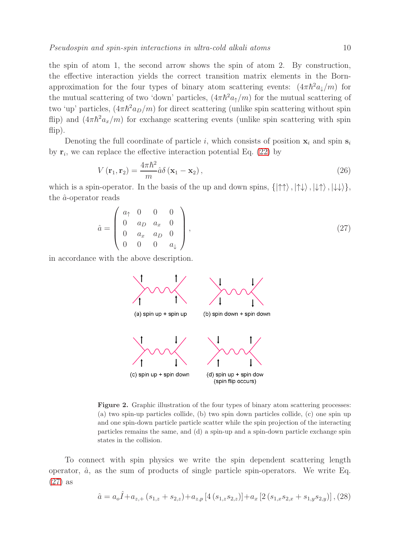the spin of atom 1, the second arrow shows the spin of atom 2. By construction, the effective interaction yields the correct transition matrix elements in the Bornapproximation for the four types of binary atom scattering events:  $(4\pi \hbar^2 a_{\downarrow}/m)$  for the mutual scattering of two 'down' particles,  $(4\pi\hbar^2a_{\uparrow}/m)$  for the mutual scattering of two 'up' particles,  $(4\pi\hbar^2 a_D/m)$  for direct scattering (unlike spin scattering without spin flip) and  $(4\pi\hbar^2 a_x/m)$  for exchange scattering events (unlike spin scattering with spin flip).

Denoting the full coordinate of particle i, which consists of position  $x_i$  and spin  $s_i$ by  $\mathbf{r}_i$ , we can replace the effective interaction potential Eq. [\(22\)](#page-8-0) by

<span id="page-9-2"></span>
$$
V(\mathbf{r}_1, \mathbf{r}_2) = \frac{4\pi\hbar^2}{m}\hat{a}\delta(\mathbf{x}_1 - \mathbf{x}_2),
$$
\n(26)

which is a spin-operator. In the basis of the up and down spins,  $\{|\uparrow\uparrow\rangle, |\downarrow\downarrow\rangle, |\downarrow\downarrow\rangle\},\$ the  $\hat{a}$ -operator reads

<span id="page-9-1"></span>
$$
\hat{a} = \begin{pmatrix} a_{\uparrow} & 0 & 0 & 0 \\ 0 & a_{D} & a_{x} & 0 \\ 0 & a_{x} & a_{D} & 0 \\ 0 & 0 & 0 & a_{\downarrow} \end{pmatrix},
$$
\n(27)

in accordance with the above description.



<span id="page-9-0"></span>Figure 2. Graphic illustration of the four types of binary atom scattering processes: (a) two spin-up particles collide, (b) two spin down particles collide, (c) one spin up and one spin-down particle particle scatter while the spin projection of the interacting particles remains the same, and (d) a spin-up and a spin-down particle exchange spin states in the collision.

To connect with spin physics we write the spin dependent scattering length operator,  $\hat{a}$ , as the sum of products of single particle spin-operators. We write Eq. [\(27\)](#page-9-1) as

$$
\hat{a} = a_o \hat{I} + a_{z,+} (s_{1,z} + s_{2,z}) + a_{z,p} [4 (s_{1,z} s_{2,z})] + a_x [2 (s_{1,x} s_{2,x} + s_{1,y} s_{2,y})],
$$
(28)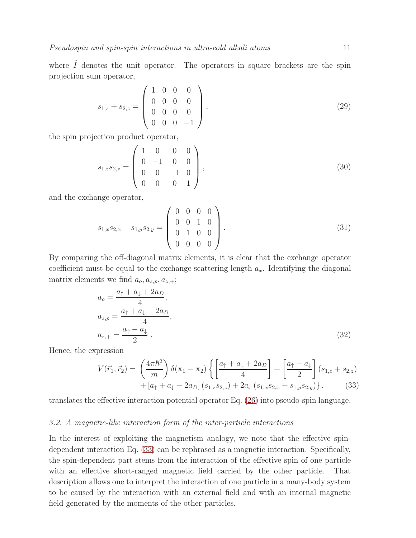where  $\hat{I}$  denotes the unit operator. The operators in square brackets are the spin projection sum operator,

$$
s_{1,z} + s_{2,z} = \begin{pmatrix} 1 & 0 & 0 & 0 \\ 0 & 0 & 0 & 0 \\ 0 & 0 & 0 & 0 \\ 0 & 0 & 0 & -1 \end{pmatrix},
$$
(29)

the spin projection product operator,

$$
s_{1,z}s_{2,z} = \begin{pmatrix} 1 & 0 & 0 & 0 \\ 0 & -1 & 0 & 0 \\ 0 & 0 & -1 & 0 \\ 0 & 0 & 0 & 1 \end{pmatrix},
$$
(30)

and the exchange operator,

$$
s_{1,x}s_{2,x} + s_{1,y}s_{2,y} = \begin{pmatrix} 0 & 0 & 0 & 0 \\ 0 & 0 & 1 & 0 \\ 0 & 1 & 0 & 0 \\ 0 & 0 & 0 & 0 \end{pmatrix}.
$$
 (31)

By comparing the off-diagonal matrix elements, it is clear that the exchange operator coefficient must be equal to the exchange scattering length  $a_x$ . Identifying the diagonal matrix elements we find  $a_o, a_{z,p}, a_{z,+};$ 

$$
a_o = \frac{a_{\uparrow} + a_{\downarrow} + 2a_D}{4},
$$
  
\n
$$
a_{z,p} = \frac{a_{\uparrow} + a_{\downarrow} - 2a_D}{4},
$$
  
\n
$$
a_{z,+} = \frac{a_{\uparrow} - a_{\downarrow}}{2}.
$$
\n(32)

Hence, the expression

<span id="page-10-0"></span>
$$
V(\vec{r_1}, \vec{r_2}) = \left(\frac{4\pi\hbar^2}{m}\right) \delta(\mathbf{x}_1 - \mathbf{x}_2) \left\{ \left[\frac{a_{\uparrow} + a_{\downarrow} + 2a_D}{4}\right] + \left[\frac{a_{\uparrow} - a_{\downarrow}}{2}\right] (s_{1,z} + s_{2,z}) + [a_{\uparrow} + a_{\downarrow} - 2a_D] (s_{1,z}s_{2,z}) + 2a_x (s_{1,x}s_{2,x} + s_{1,y}s_{2,y}) \right\}.
$$
 (33)

translates the effective interaction potential operator Eq. [\(26\)](#page-9-2) into pseudo-spin language.

### 3.2. A magnetic-like interaction form of the inter-particle interactions

In the interest of exploiting the magnetism analogy, we note that the effective spindependent interaction Eq. [\(33\)](#page-10-0) can be rephrased as a magnetic interaction. Specifically, the spin-dependent part stems from the interaction of the effective spin of one particle with an effective short-ranged magnetic field carried by the other particle. That description allows one to interpret the interaction of one particle in a many-body system to be caused by the interaction with an external field and with an internal magnetic field generated by the moments of the other particles.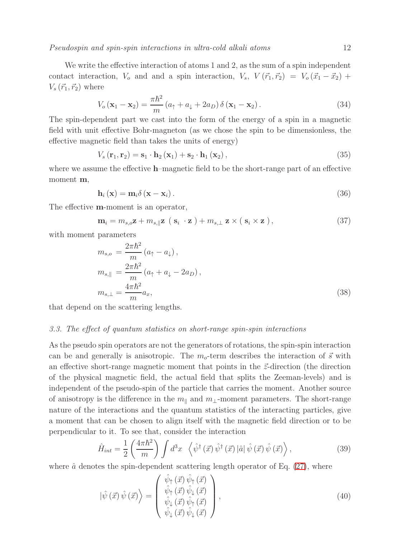Pseudospin and spin-spin interactions in ultra-cold alkali atoms 12

We write the effective interaction of atoms 1 and 2, as the sum of a spin independent contact interaction,  $V_o$  and and a spin interaction,  $V_s$ ,  $V(\vec{r}_1, \vec{r}_2) = V_o(\vec{x}_1 - \vec{x}_2) +$  $V_s(\vec{r}_1, \vec{r}_2)$  where

$$
V_o(\mathbf{x}_1 - \mathbf{x}_2) = \frac{\pi \hbar^2}{m} (a_\uparrow + a_\downarrow + 2a_D) \delta(\mathbf{x}_1 - \mathbf{x}_2).
$$
 (34)

The spin-dependent part we cast into the form of the energy of a spin in a magnetic field with unit effective Bohr-magneton (as we chose the spin to be dimensionless, the effective magnetic field than takes the units of energy)

$$
V_s(\mathbf{r}_1, \mathbf{r}_2) = \mathbf{s}_1 \cdot \mathbf{h}_2(\mathbf{x}_1) + \mathbf{s}_2 \cdot \mathbf{h}_1(\mathbf{x}_2), \qquad (35)
$$

where we assume the effective h–magnetic field to be the short-range part of an effective moment m,

$$
\mathbf{h}_{i}\left(\mathbf{x}\right) = \mathbf{m}_{i}\delta\left(\mathbf{x} - \mathbf{x}_{i}\right). \tag{36}
$$

The effective m-moment is an operator,

$$
\mathbf{m}_{i} = m_{s,o}\mathbf{z} + m_{s,\parallel}\mathbf{z} \, \left( \, \mathbf{s}_{i} \, \cdot \mathbf{z} \, \right) + m_{s,\perp} \, \mathbf{z} \times \left( \, \mathbf{s}_{i} \times \mathbf{z} \, \right), \tag{37}
$$

with moment parameters

<span id="page-11-1"></span>
$$
m_{s,o} = \frac{2\pi\hbar^2}{m} (a_{\uparrow} - a_{\downarrow}),
$$
  
\n
$$
m_{s,\parallel} = \frac{2\pi\hbar^2}{m} (a_{\uparrow} + a_{\downarrow} - 2a_D),
$$
  
\n
$$
m_{s,\perp} = \frac{4\pi\hbar^2}{m} a_x,
$$
\n(38)

that depend on the scattering lengths.

### 3.3. The effect of quantum statistics on short-range spin-spin interactions

As the pseudo spin operators are not the generators of rotations, the spin-spin interaction can be and generally is anisotropic. The  $m<sub>o</sub>$ -term describes the interaction of  $\vec{s}$  with an effective short-range magnetic moment that points in the  $\vec{z}$ -direction (the direction of the physical magnetic field, the actual field that splits the Zeeman-levels) and is independent of the pseudo-spin of the particle that carries the moment. Another source of anisotropy is the difference in the  $m_{\parallel}$  and  $m_{\perp}$ -moment parameters. The short-range nature of the interactions and the quantum statistics of the interacting particles, give a moment that can be chosen to align itself with the magnetic field direction or to be perpendicular to it. To see that, consider the interaction

$$
\hat{H}_{int} = \frac{1}{2} \left( \frac{4\pi\hbar^2}{m} \right) \int d^3x \, \langle \hat{\psi}^\dagger(\vec{x}) \, \hat{\psi}^\dagger(\vec{x}) \, |\hat{a}| \, \hat{\psi}(\vec{x}) \, \hat{\psi}(\vec{x}) \rangle \,, \tag{39}
$$

where  $\hat{a}$  denotes the spin-dependent scattering length operator of Eq. [\(27\)](#page-9-1), where

<span id="page-11-0"></span>
$$
|\hat{\psi}(\vec{x})\hat{\psi}(\vec{x})\rangle = \begin{pmatrix} \hat{\psi}_{\uparrow}(\vec{x})\hat{\psi}_{\uparrow}(\vec{x})\\ \hat{\psi}_{\uparrow}(\vec{x})\hat{\psi}_{\downarrow}(\vec{x})\\ \hat{\psi}_{\downarrow}(\vec{x})\hat{\psi}_{\uparrow}(\vec{x})\\ \hat{\psi}_{\downarrow}(\vec{x})\hat{\psi}_{\downarrow}(\vec{x}) \end{pmatrix},
$$
\n(40)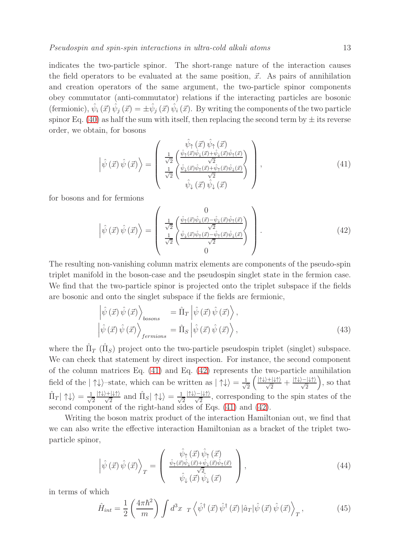indicates the two-particle spinor. The short-range nature of the interaction causes the field operators to be evaluated at the same position,  $\vec{x}$ . As pairs of annihilation and creation operators of the same argument, the two-particle spinor components obey commutator (anti-commutator) relations if the interacting particles are bosonic (fermionic),  $\hat{\psi}_i(\vec{x}) \hat{\psi}_j(\vec{x}) = \pm \hat{\psi}_j(\vec{x}) \hat{\psi}_i(\vec{x})$ . By writing the components of the two particle spinor Eq. [\(40\)](#page-11-0) as half the sum with itself, then replacing the second term by  $\pm$  its reverse order, we obtain, for bosons

<span id="page-12-0"></span>
$$
\left|\hat{\psi}\left(\vec{x}\right)\hat{\psi}\left(\vec{x}\right)\right\rangle = \begin{pmatrix} \hat{\psi}_{\uparrow}\left(\vec{x}\right)\hat{\psi}_{\uparrow}\left(\vec{x}\right) \\ \frac{1}{\sqrt{2}}\left(\frac{\hat{\psi}_{\uparrow}(\vec{x})\hat{\psi}_{\downarrow}(\vec{x})+\hat{\psi}_{\downarrow}(\vec{x})\hat{\psi}_{\uparrow}(\vec{x})}{\sqrt{2}}\\ \frac{1}{\sqrt{2}}\left(\frac{\hat{\psi}_{\downarrow}(\vec{x})\hat{\psi}_{\uparrow}(\vec{x})+\hat{\psi}_{\uparrow}(\vec{x})\hat{\psi}_{\downarrow}(\vec{x})}{\sqrt{2}}\right) \\ \hat{\psi}_{\downarrow}\left(\vec{x}\right)\hat{\psi}_{\downarrow}\left(\vec{x}\right) \end{pmatrix},\tag{41}
$$

for bosons and for fermions

<span id="page-12-1"></span>
$$
\left| \hat{\psi}(\vec{x}) \hat{\psi}(\vec{x}) \right\rangle = \begin{pmatrix} 0 \\ \frac{1}{\sqrt{2}} \left( \frac{\hat{\psi}_{\uparrow}(\vec{x}) \hat{\psi}_{\downarrow}(\vec{x}) - \hat{\psi}_{\downarrow}(\vec{x}) \hat{\psi}_{\uparrow}(\vec{x})}{\sqrt{2}} \right) \\ \frac{1}{\sqrt{2}} \left( \frac{\hat{\psi}_{\downarrow}(\vec{x}) \hat{\psi}_{\uparrow}(\vec{x}) - \hat{\psi}_{\uparrow}(\vec{x}) \hat{\psi}_{\downarrow}(\vec{x})}{\sqrt{2}} \right) \\ 0 \end{pmatrix} . \tag{42}
$$

The resulting non-vanishing column matrix elements are components of the pseudo-spin triplet manifold in the boson-case and the pseudospin singlet state in the fermion case. We find that the two-particle spinor is projected onto the triplet subspace if the fields are bosonic and onto the singlet subspace if the fields are fermionic,

$$
\begin{aligned}\n\left|\hat{\psi}\left(\vec{x}\right)\hat{\psi}\left(\vec{x}\right)\right\rangle_{bosons} &= \hat{\Pi}_{T}\left|\hat{\psi}\left(\vec{x}\right)\hat{\psi}\left(\vec{x}\right)\right\rangle, \\
\left|\hat{\psi}\left(\vec{x}\right)\hat{\psi}\left(\vec{x}\right)\right\rangle_{fermions} &= \hat{\Pi}_{S}\left|\hat{\psi}\left(\vec{x}\right)\hat{\psi}\left(\vec{x}\right)\right\rangle,\n\end{aligned} \tag{43}
$$

where the  $\hat{\Pi}_T$  ( $\hat{\Pi}_S$ ) project onto the two-particle pseudospin triplet (singlet) subspace. We can check that statement by direct inspection. For instance, the second component of the column matrices Eq. [\(41\)](#page-12-0) and Eq. [\(42\)](#page-12-1) represents the two-particle annihilation field of the  $|\uparrow\downarrow\rangle$ -state, which can be written as  $|\uparrow\downarrow\rangle = \frac{1}{\sqrt{n}}$ 2  $\left(\frac{|\!\uparrow\downarrow\rangle+|\!\downarrow\uparrow\rangle}{\sqrt{2}}+\frac{|\!\uparrow\downarrow\rangle-|\!\downarrow\uparrow\rangle}{\sqrt{2}}$  , so that  $\hat{\Pi}_T|\uparrow\downarrow\rangle=\frac{1}{\sqrt{2}}$ 2  $\frac{|\uparrow\downarrow\rangle+|\downarrow\uparrow\rangle}{\sqrt{2}}$  and  $\hat{\Pi}_S|\uparrow\downarrow\rangle=\frac{1}{\sqrt{2}}$ 2  $\frac{|\Pi\psi\rangle - |\Psi\psi\rangle}{\sqrt{2}}$ , corresponding to the spin states of the second component of the right-hand sides of Eqs. [\(41\)](#page-12-0) and [\(42\)](#page-12-1).

Writing the boson matrix product of the interaction Hamiltonian out, we find that we can also write the effective interaction Hamiltonian as a bracket of the triplet twoparticle spinor,

$$
\left| \hat{\psi}(\vec{x}) \hat{\psi}(\vec{x}) \right\rangle_{T} = \begin{pmatrix} \hat{\psi}_{\uparrow}(\vec{x}) \hat{\psi}_{\uparrow}(\vec{x}) \\ \frac{\hat{\psi}_{\uparrow}(\vec{x}) \hat{\psi}_{\downarrow}(\vec{x}) + \hat{\psi}_{\downarrow}(\vec{x}) \hat{\psi}_{\uparrow}(\vec{x})}{\sqrt{2}} \\ \hat{\psi}_{\downarrow}(\vec{x}) \hat{\psi}_{\downarrow}(\vec{x}) \end{pmatrix}, \tag{44}
$$

in terms of which

<span id="page-12-2"></span>
$$
\hat{H}_{int} = \frac{1}{2} \left( \frac{4\pi\hbar^2}{m} \right) \int d^3x \, r \left\langle \hat{\psi}^\dagger \left( \vec{x} \right) \hat{\psi}^\dagger \left( \vec{x} \right) \left| \hat{a}_T \right| \hat{\psi} \left( \vec{x} \right) \hat{\psi} \left( \vec{x} \right) \right\rangle_T, \tag{45}
$$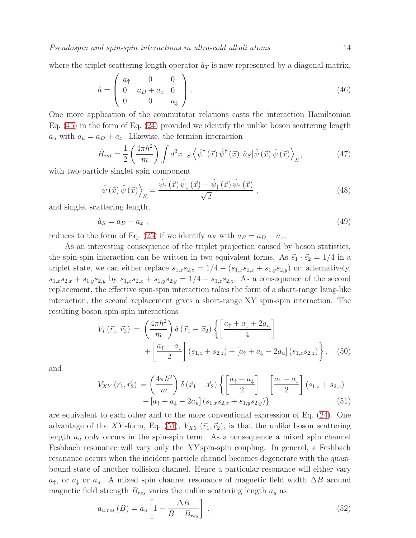where the triplet scattering length operator  $\hat{a}_T$  is now represented by a diagonal matrix,

$$
\hat{a} = \begin{pmatrix} a_{\uparrow} & 0 & 0 \\ 0 & a_{D} + a_{x} & 0 \\ 0 & 0 & a_{\downarrow} \end{pmatrix} . \tag{46}
$$

One more application of the commutator relations casts the interaction Hamiltonian Eq. [\(45\)](#page-12-2) in the form of Eq. [\(24\)](#page-8-1) provided we identify the unlike boson scattering length  $a_u$  with  $a_u = a_D + a_x$ . Likewise, the fermion interaction

$$
\hat{H}_{int} = \frac{1}{2} \left( \frac{4\pi\hbar^2}{m} \right) \int d^3x \, s \left\langle \hat{\psi}^\dagger(\vec{x}) \, \hat{\psi}^\dagger(\vec{x}) \, |\hat{a}_S| \hat{\psi}(\vec{x}) \, \hat{\psi}(\vec{x}) \right\rangle_S, \tag{47}
$$

with two-particle singlet spin component

$$
\left| \hat{\psi}(\vec{x}) \hat{\psi}(\vec{x}) \right\rangle_{S} = \frac{\hat{\psi}_{\uparrow}(\vec{x}) \hat{\psi}_{\downarrow}(\vec{x}) - \hat{\psi}_{\downarrow}(\vec{x}) \hat{\psi}_{\uparrow}(\vec{x})}{\sqrt{2}} , \qquad (48)
$$

and singlet scattering length,

$$
\hat{a}_S = a_D - a_x \,,\tag{49}
$$

reduces to the form of Eq. [\(25\)](#page-8-2) if we identify  $a_F$  with  $a_F = a_D - a_x$ .

As an interesting consequence of the triplet projection caused by boson statistics, the spin-spin interaction can be written in two equivalent forms. As  $\vec{s}_1 \cdot \vec{s}_2 = 1/4$  in a triplet state, we can either replace  $s_{1,z}s_{2,z} = 1/4 - (s_{1,x}s_{2,x} + s_{1,y}s_{2,y})$  or, alternatively,  $s_{1,x}s_{2,x} + s_{1,y}s_{2,y}$  by  $s_{1,x}s_{2,x} + s_{1,y}s_{2,y} = 1/4 - s_{1,z}s_{2,z}$ . As a consequence of the second replacement, the effective spin-spin interaction takes the form of a short-range Ising-like interaction, the second replacement gives a short-range XY spin-spin interaction. The resulting boson spin-spin interactions

$$
V_{I}(\vec{r}_{1},\vec{r}_{2}) = \left(\frac{4\pi\hbar^{2}}{m}\right)\delta\left(\vec{x}_{1} - \vec{x}_{2}\right)\left\{\left[\frac{a_{\uparrow} + a_{\downarrow} + 2a_{u}}{4}\right] + \left[\frac{a_{\uparrow} - a_{\downarrow}}{2}\right](s_{1,z} + s_{2,z}) + \left[a_{\uparrow} + a_{\downarrow} - 2a_{u}\right](s_{1,z}s_{2,z})\right\}, \quad (50)
$$

and

<span id="page-13-0"></span>
$$
V_{XY}(\vec{r}_1, \vec{r}_2) = \left(\frac{4\pi\hbar^2}{m}\right) \delta\left(\vec{x}_1 - \vec{x}_2\right) \left\{ \left[\frac{a_1 + a_1}{2}\right] + \left[\frac{a_1 - a_1}{2}\right] \left(s_{1,z} + s_{2,z}\right) - \left[a_1 + a_1 - 2a_u\right] \left(s_{1,x}s_{2,x} + s_{1,y}s_{2,y}\right) \right\} \tag{51}
$$

are equivalent to each other and to the more conventional expression of Eq. [\(24\)](#page-8-1). One advantage of the XY-form, Eq. [\(51\)](#page-13-0),  $V_{XY}(\vec{r}_1, \vec{r}_2)$ , is that the unlike boson scattering length  $a_u$  only occurs in the spin-spin term. As a consequence a mixed spin channel Feshbach resonance will vary only the XY spin-spin coupling. In general, a Feshbach resonance occurs when the incident particle channel becomes degenerate with the quasibound state of another collision channel. Hence a particular resonance will either vary  $a_{\uparrow}$ , or  $a_{\downarrow}$  or  $a_u$ . A mixed spin channel resonance of magnetic field width  $\Delta B$  around magnetic field strength  $B_{res}$  varies the unlike scattering length  $a_u$  as

$$
a_{u,res}(B) = a_u \left[ 1 - \frac{\Delta B}{B - B_{res}} \right] \,, \tag{52}
$$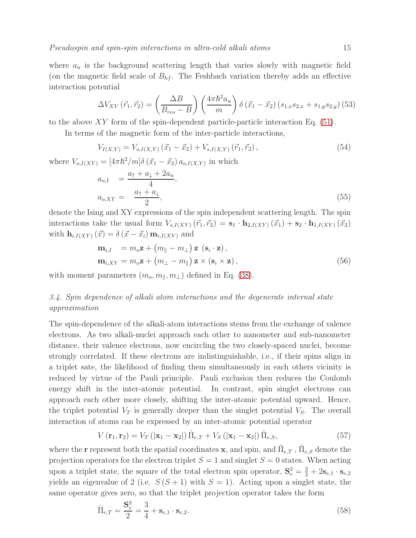where  $a_u$  is the background scattering length that varies slowly with magnetic field (on the magnetic field scale of  $B_{hf}$ . The Feshbach variation thereby adds an effective interaction potential

$$
\Delta V_{XY}(\vec{r}_1, \vec{r}_2) = \left(\frac{\Delta B}{B_{res} - B}\right) \left(\frac{4\pi\hbar^2 a_u}{m}\right) \delta\left(\vec{x}_1 - \vec{x}_2\right) \left(s_{1,x}s_{2,x} + s_{1,y}s_{2,y}\right) (53)
$$

to the above  $XY$  form of the spin-dependent particle-particle interaction Eq. [\(51\)](#page-13-0).

In terms of the magnetic form of the inter-particle interactions,

$$
V_{I(X,Y)} = V_{o,I(X,Y)}\left(\vec{x}_1 - \vec{x}_2\right) + V_{s,I(X,Y)}\left(\vec{r}_1, \vec{r}_2\right),\tag{54}
$$

where  $V_{o,I(XY)} = [4\pi\hbar^2/m]\delta(\vec{x}_1 - \vec{x}_2) a_{o,I(X,Y)}$  in which

$$
a_{o,I} = \frac{a_{\uparrow} + a_{\downarrow} + 2a_u}{4},
$$
  
\n
$$
a_{o,XY} = \frac{a_{\uparrow} + a_{\downarrow}}{2},
$$
\n(55)

denote the Ising and XY expressions of the spin independent scattering length. The spin interactions take the usual form  $V_{s,I(XY)}(\vec{r}_1, \vec{r}_2) = \mathbf{s}_1 \cdot \mathbf{h}_{2,I(XY)}(\vec{x}_1) + \mathbf{s}_2 \cdot \mathbf{h}_{1,I(XY)}(\vec{x}_2)$ with  $\mathbf{h}_{i,I(XY)}(\vec{x}) = \delta(\vec{x} - \vec{x}_i) \mathbf{m}_{i,I(XY)}$  and

$$
\mathbf{m}_{i,I} = m_o \mathbf{z} + (m_{\parallel} - m_{\perp}) \mathbf{z} \ (\mathbf{s}_i \cdot \mathbf{z}),
$$
  
\n
$$
\mathbf{m}_{i,XY} = m_o \mathbf{z} + (m_{\perp} - m_{\parallel}) \mathbf{z} \times (\mathbf{s}_i \times \mathbf{z}),
$$
\n(56)

with moment parameters  $(m_o, m_{\parallel}, m_{\perp})$  defined in Eq. [\(38\)](#page-11-1).

# 3.4. Spin dependence of alkali atom interactions and the degenerate internal state approximation

The spin-dependence of the alkali-atom interactions stems from the exchange of valence electrons. As two alkali-nuclei approach each other to nanometer and sub-nanometer distance, their valence electrons, now encircling the two closely-spaced nuclei, become strongly correlated. If these electrons are indistinguishable, i.e., if their spins align in a triplet sate, the likelihood of finding them simultaneously in each others vicinity is reduced by virtue of the Pauli principle. Pauli exclusion then reduces the Coulomb energy shift in the inter-atomic potential. In contrast, spin singlet electrons can approach each other more closely, shifting the inter-atomic potential upward. Hence, the triplet potential  $V_T$  is generally deeper than the singlet potential  $V_S$ . The overall interaction of atoms can be expressed by an inter-atomic potential operator

<span id="page-14-1"></span>
$$
V(\mathbf{r}_1, \mathbf{r}_2) = V_T \left( |\mathbf{x}_1 - \mathbf{x}_2| \right) \hat{\Pi}_{e,T} + V_S \left( |\mathbf{x}_1 - \mathbf{x}_2| \right) \hat{\Pi}_{e,S},\tag{57}
$$

where the **r** represent both the spatial coordinates **x**, and spin, and  $\hat{\Pi}_{e,T}$  ,  $\hat{\Pi}_{e,S}$  denote the projection operators for the electron triplet  $S = 1$  and singlet  $S = 0$  states. When acting upon a triplet state, the square of the total electron spin operator,  $S_e^2 = \frac{3}{2} + 2s_{e,1} \cdot s_{e,2}$ yields an eigenvalue of 2 (i.e.  $S(S + 1)$  with  $S = 1$ ). Acting upon a singlet state, the same operator gives zero, so that the triplet projection operator takes the form

<span id="page-14-0"></span>
$$
\hat{\Pi}_{e,T} = \frac{\mathbf{S}_e^2}{2} = \frac{3}{4} + \mathbf{s}_{e,1} \cdot \mathbf{s}_{e,2}.
$$
\n(58)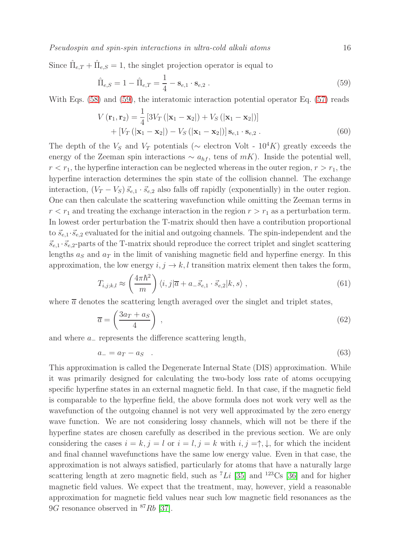Since  $\hat{\Pi}_{e,T} + \hat{\Pi}_{e,S} = 1$ , the singlet projection operator is equal to

<span id="page-15-0"></span>
$$
\hat{\Pi}_{e,S} = 1 - \hat{\Pi}_{e,T} = \frac{1}{4} - \mathbf{s}_{e,1} \cdot \mathbf{s}_{e,2} .
$$
\n(59)

With Eqs. [\(58\)](#page-14-0) and [\(59\)](#page-15-0), the interatomic interaction potential operator Eq. [\(57\)](#page-14-1) reads

$$
V(\mathbf{r}_1, \mathbf{r}_2) = \frac{1}{4} [3V_T (|\mathbf{x}_1 - \mathbf{x}_2|) + V_S (|\mathbf{x}_1 - \mathbf{x}_2|)] + [V_T (|\mathbf{x}_1 - \mathbf{x}_2|) - V_S (|\mathbf{x}_1 - \mathbf{x}_2|)] \mathbf{s}_{e,1} \cdot \mathbf{s}_{e,2}.
$$
 (60)

The depth of the  $V_s$  and  $V_T$  potentials ( $\sim$  electron Volt - 10<sup>4</sup>K) greatly exceeds the energy of the Zeeman spin interactions  $\sim a_{hf}$ , tens of mK). Inside the potential well,  $r < r_1$ , the hyperfine interaction can be neglected whereas in the outer region,  $r > r_1$ , the hyperfine interaction determines the spin state of the collision channel. The exchange interaction,  $(V_T - V_S) \vec{s}_{e,1} \cdot \vec{s}_{e,2}$  also falls off rapidly (exponentially) in the outer region. One can then calculate the scattering wavefunction while omitting the Zeeman terms in  $r < r_1$  and treating the exchange interaction in the region  $r > r_1$  as a perturbation term. In lowest order perturbation the T-matrix should then have a contribution proportional to  $\vec{s}_{e,1}\cdot\vec{s}_{e,2}$  evaluated for the initial and outgoing channels. The spin-independent and the  $\vec{s}_{e,1} \cdot \vec{s}_{e,2}$ -parts of the T-matrix should reproduce the correct triplet and singlet scattering lengths  $a<sub>S</sub>$  and  $a<sub>T</sub>$  in the limit of vanishing magnetic field and hyperfine energy. In this approximation, the low energy  $i, j \rightarrow k, l$  transition matrix element then takes the form,

$$
T_{i,j;k,l} \approx \left(\frac{4\pi\hbar^2}{m}\right) \langle i,j|\overline{a} + a_-\vec{s}_{e,1} \cdot \vec{s}_{e,2}|k,s\rangle ,\qquad (61)
$$

where  $\bar{a}$  denotes the scattering length averaged over the singlet and triplet states,

$$
\overline{a} = \left(\frac{3a_T + a_S}{4}\right) \,,\tag{62}
$$

and where a<sup>−</sup> represents the difference scattering length,

$$
a_{-} = a_{T} - a_{S} \quad . \tag{63}
$$

This approximation is called the Degenerate Internal State (DIS) approximation. While it was primarily designed for calculating the two-body loss rate of atoms occupying specific hyperfine states in an external magnetic field. In that case, if the magnetic field is comparable to the hyperfine field, the above formula does not work very well as the wavefunction of the outgoing channel is not very well approximated by the zero energy wave function. We are not considering lossy channels, which will not be there if the hyperfine states are chosen carefully as described in the previous section. We are only considering the cases  $i = k, j = l$  or  $i = l, j = k$  with  $i, j = \uparrow, \downarrow$ , for which the incident and final channel wavefunctions have the same low energy value. Even in that case, the approximation is not always satisfied, particularly for atoms that have a naturally large scattering length at zero magnetic field, such as  $^7Li$  [\[35\]](#page-23-11) and  $^{123}Cs$  [\[36\]](#page-23-12) and for higher magnetic field values. We expect that the treatment, may, however, yield a reasonable approximation for magnetic field values near such low magnetic field resonances as the  $9G$  resonance observed in  $87Rb$  [\[37\]](#page-23-13).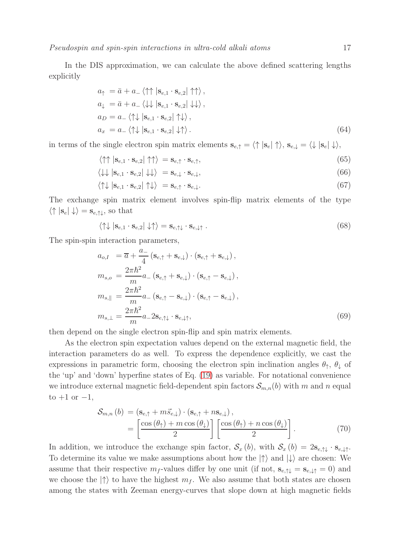In the DIS approximation, we can calculate the above defined scattering lengths explicitly

$$
a_{\uparrow} = \bar{a} + a_{-} \langle \uparrow \uparrow | \mathbf{s}_{e,1} \cdot \mathbf{s}_{e,2} | \uparrow \uparrow \rangle,
$$
  
\n
$$
a_{\downarrow} = \bar{a} + a_{-} \langle \downarrow \downarrow | \mathbf{s}_{e,1} \cdot \mathbf{s}_{e,2} | \downarrow \downarrow \rangle,
$$
  
\n
$$
a_{D} = a_{-} \langle \uparrow \downarrow | \mathbf{s}_{e,1} \cdot \mathbf{s}_{e,2} | \uparrow \downarrow \rangle,
$$
  
\n
$$
a_{x} = a_{-} \langle \uparrow \downarrow | \mathbf{s}_{e,1} \cdot \mathbf{s}_{e,2} | \downarrow \uparrow \rangle.
$$
\n(64)

in terms of the single electron spin matrix elements  $\mathbf{s}_{e,\uparrow} = \langle \uparrow | \mathbf{s}_e | \uparrow \rangle$ ,  $\mathbf{s}_{e,\downarrow} = \langle \downarrow | \mathbf{s}_e | \downarrow \rangle$ ,

$$
\langle \uparrow \uparrow | \mathbf{s}_{e,1} \cdot \mathbf{s}_{e,2} | \uparrow \uparrow \rangle = \mathbf{s}_{e,\uparrow} \cdot \mathbf{s}_{e,\uparrow}, \tag{65}
$$

$$
\langle \downarrow \downarrow | \mathbf{s}_{e,1} \cdot \mathbf{s}_{e,2} | \downarrow \downarrow \rangle = \mathbf{s}_{e,\downarrow} \cdot \mathbf{s}_{e,\downarrow}, \tag{66}
$$

$$
\langle \uparrow \downarrow | \mathbf{s}_{e,1} \cdot \mathbf{s}_{e,2} | \uparrow \downarrow \rangle = \mathbf{s}_{e,\uparrow} \cdot \mathbf{s}_{e,\downarrow}.
$$
 (67)

The exchange spin matrix element involves spin-flip matrix elements of the type  $\langle \uparrow | s_e | \downarrow \rangle = s_{e, \uparrow \downarrow}$ , so that

$$
\langle \uparrow \downarrow | \mathbf{s}_{e,1} \cdot \mathbf{s}_{e,2} | \downarrow \uparrow \rangle = \mathbf{s}_{e,\uparrow \downarrow} \cdot \mathbf{s}_{e,\downarrow \uparrow} . \tag{68}
$$

The spin-spin interaction parameters,

$$
a_{o,I} = \overline{a} + \frac{a_{-}}{4} (\mathbf{s}_{e,\uparrow} + \mathbf{s}_{e,\downarrow}) \cdot (\mathbf{s}_{e,\uparrow} + \mathbf{s}_{e,\downarrow}),
$$
  
\n
$$
m_{s,o} = \frac{2\pi\hbar^2}{m} a_{-} (\mathbf{s}_{e,\uparrow} + \mathbf{s}_{e,\downarrow}) \cdot (\mathbf{s}_{e,\uparrow} - \mathbf{s}_{e,\downarrow}),
$$
  
\n
$$
m_{s,\parallel} = \frac{2\pi\hbar^2}{m} a_{-} (\mathbf{s}_{e,\uparrow} - \mathbf{s}_{e,\downarrow}) \cdot (\mathbf{s}_{e,\uparrow} - \mathbf{s}_{e,\downarrow}),
$$
  
\n
$$
m_{s,\perp} = \frac{2\pi\hbar^2}{m} a_{-} 2\mathbf{s}_{e,\uparrow\downarrow} \cdot \mathbf{s}_{e,\downarrow\uparrow},
$$
\n(69)

then depend on the single electron spin-flip and spin matrix elements.

As the electron spin expectation values depend on the external magnetic field, the interaction parameters do as well. To express the dependence explicitly, we cast the expressions in parametric form, choosing the electron spin inclination angles  $\theta_{\uparrow}$ ,  $\theta_{\downarrow}$  of the 'up' and 'down' hyperfine states of Eq. [\(19\)](#page-5-2) as variable. For notational convenience we introduce external magnetic field-dependent spin factors  $S_{m,n}(b)$  with m and n equal to  $+1$  or  $-1$ ,

$$
\mathcal{S}_{m,n}(b) = (\mathbf{s}_{e,\uparrow} + m\vec{s}_{e,\downarrow}) \cdot (\mathbf{s}_{e,\uparrow} + n\mathbf{s}_{e,\downarrow}),
$$
  
= 
$$
\left[\frac{\cos(\theta_{\uparrow}) + m\cos(\theta_{\downarrow})}{2}\right] \left[\frac{\cos(\theta_{\uparrow}) + n\cos(\theta_{\downarrow})}{2}\right].
$$
 (70)

In addition, we introduce the exchange spin factor,  $S_x(b)$ , with  $S_x(b) = 2s_{e,\uparrow\downarrow} \cdot s_{e,\downarrow\uparrow}$ . To determine its value we make assumptions about how the  $|\uparrow\rangle$  and  $|\downarrow\rangle$  are chosen: We assume that their respective  $m_f$ -values differ by one unit (if not,  $s_{e,\uparrow\downarrow} = s_{e,\downarrow\uparrow} = 0$ ) and we choose the  $|\uparrow\rangle$  to have the highest  $m_f$ . We also assume that both states are chosen among the states with Zeeman energy-curves that slope down at high magnetic fields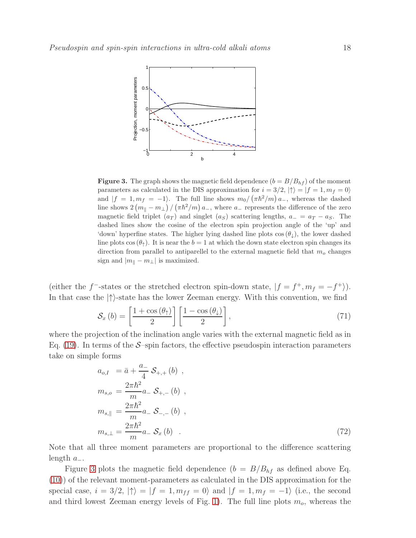

<span id="page-17-0"></span>**Figure 3.** The graph shows the magnetic field dependence  $(b = B/B<sub>hf</sub>)$  of the moment parameters as calculated in the DIS approximation for  $i = 3/2$ ,  $|\uparrow\rangle = |f = 1, m_f = 0\rangle$ and  $|f = 1, m_f = -1$ . The full line shows  $m_0 / (\pi \hbar^2 / m) a_-,$  whereas the dashed line shows  $2(m_{\parallel} - m_{\perp}) / (\pi \hbar^2/m) a_{-}$ , where  $a_{-}$  represents the difference of the zero magnetic field triplet  $(a_T)$  and singlet  $(a_S)$  scattering lengths,  $a_0 = a_T - a_S$ . The dashed lines show the cosine of the electron spin projection angle of the 'up' and 'down' hyperfine states. The higher lying dashed line plots  $\cos(\theta_{\perp})$ , the lower dashed line plots cos  $(\theta_{\uparrow})$ . It is near the  $b = 1$  at which the down state electron spin changes its direction from parallel to antiparellel to the external magnetic field that  $m<sub>o</sub>$  changes sign and  $|m_{\parallel} - m_{\perp}|$  is maximized.

(either the f<sup>-</sup>-states or the stretched electron spin-down state,  $|f = f^+, m_f = -f^+ \rangle$ ). In that case the  $|\uparrow\rangle$ -state has the lower Zeeman energy. With this convention, we find

$$
S_x(b) = \left[\frac{1 + \cos(\theta_1)}{2}\right] \left[\frac{1 - \cos(\theta_1)}{2}\right],\tag{71}
$$

where the projection of the inclination angle varies with the external magnetic field as in Eq. [\(19\)](#page-5-2). In terms of the  $S$ –spin factors, the effective pseudospin interaction parameters take on simple forms

$$
a_{o,I} = \bar{a} + \frac{a_-}{4} S_{+,+} (b) ,
$$
  
\n
$$
m_{s,o} = \frac{2\pi \hbar^2}{m} a_- S_{+, -} (b) ,
$$
  
\n
$$
m_{s,\parallel} = \frac{2\pi \hbar^2}{m} a_- S_{-, -} (b) ,
$$
  
\n
$$
m_{s,\perp} = \frac{2\pi \hbar^2}{m} a_- S_x (b) .
$$
\n(72)

Note that all three moment parameters are proportional to the difference scattering length  $a_$ 

Figure [3](#page-17-0) plots the magnetic field dependence  $(b = B/B<sub>hf</sub>$  as defined above Eq. [\(10\)](#page-4-0)) of the relevant moment-parameters as calculated in the DIS approximation for the special case,  $i = 3/2$ ,  $|\uparrow\rangle = |f = 1, m_{ff} = 0\rangle$  and  $|f = 1, m_f = -1\rangle$  (i.e., the second and third lowest Zeeman energy levels of Fig. [1\)](#page-6-0). The full line plots  $m<sub>o</sub>$ , whereas the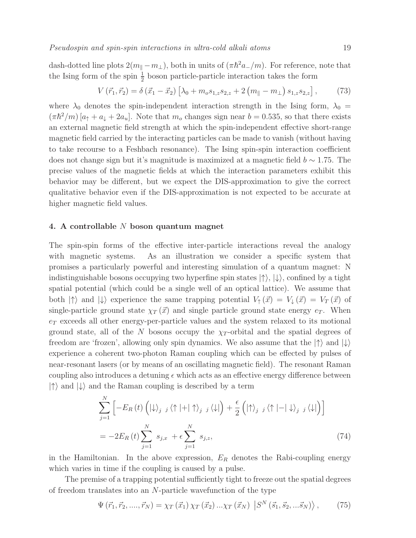dash-dotted line plots  $2(m_{\parallel} - m_{\perp})$ , both in units of  $(\pi \hbar^2 a_{-}/m)$ . For reference, note that the Ising form of the spin  $\frac{1}{2}$  boson particle-particle interaction takes the form

$$
V(\vec{r}_1, \vec{r}_2) = \delta(\vec{x}_1 - \vec{x}_2) \left[ \lambda_0 + m_o s_{1,z} s_{2,z} + 2 \left( m_{\parallel} - m_{\perp} \right) s_{1,z} s_{2,z} \right],\tag{73}
$$

where  $\lambda_0$  denotes the spin-independent interaction strength in the Ising form,  $\lambda_0$  =  $(\pi \hbar^2/m) [a_\uparrow + a_\downarrow + 2a_u]$ . Note that  $m_o$  changes sign near  $b = 0.535$ , so that there exists an external magnetic field strength at which the spin-independent effective short-range magnetic field carried by the interacting particles can be made to vanish (without having to take recourse to a Feshbach resonance). The Ising spin-spin interaction coefficient does not change sign but it's magnitude is maximized at a magnetic field  $b \sim 1.75$ . The precise values of the magnetic fields at which the interaction parameters exhibit this behavior may be different, but we expect the DIS-approximation to give the correct qualitative behavior even if the DIS-approximation is not expected to be accurate at higher magnetic field values.

### 4. A controllable N boson quantum magnet

The spin-spin forms of the effective inter-particle interactions reveal the analogy with magnetic systems. As an illustration we consider a specific system that promises a particularly powerful and interesting simulation of a quantum magnet: N indistinguishable bosons occupying two hyperfine spin states  $|\uparrow\rangle, |\downarrow\rangle$ , confined by a tight spatial potential (which could be a single well of an optical lattice). We assume that both  $|\uparrow\rangle$  and  $|\downarrow\rangle$  experience the same trapping potential  $V_{\uparrow}(\vec{x}) = V_{\downarrow}(\vec{x}) = V_T(\vec{x})$  of single-particle ground state  $\chi_T(\vec{x})$  and single particle ground state energy  $e_T$ . When  $e_T$  exceeds all other energy-per-particle values and the system relaxed to its motional ground state, all of the N bosons occupy the  $\chi_T$ -orbital and the spatial degrees of freedom are 'frozen', allowing only spin dynamics. We also assume that the  $|\uparrow\rangle$  and  $|\downarrow\rangle$ experience a coherent two-photon Raman coupling which can be effected by pulses of near-resonant lasers (or by means of an oscillating magnetic field). The resonant Raman coupling also introduces a detuning  $\epsilon$  which acts as an effective energy difference between  $|\uparrow\rangle$  and  $|\downarrow\rangle$  and the Raman coupling is described by a term

$$
\sum_{j=1}^{N} \left[ -E_R(t) \left( |\downarrow\rangle_j j \langle \uparrow | + |\uparrow\rangle_j j \langle \downarrow | \right) + \frac{\epsilon}{2} \left( |\uparrow\rangle_j j \langle \uparrow | - |\downarrow\rangle_j j \langle \downarrow | \right) \right]
$$
  
=  $-2E_R(t) \sum_{j=1}^{N} s_{j,x} + \epsilon \sum_{j=1}^{N} s_{j,z},$  (74)

in the Hamiltonian. In the above expression,  $E_R$  denotes the Rabi-coupling energy which varies in time if the coupling is caused by a pulse.

The premise of a trapping potential sufficiently tight to freeze out the spatial degrees of freedom translates into an N-particle wavefunction of the type

$$
\Psi\left(\vec{r}_1,\vec{r}_2,...,\vec{r}_N\right) = \chi_T\left(\vec{x}_1\right)\chi_T\left(\vec{x}_2\right)...\chi_T\left(\vec{x}_N\right)\left|S^N\left(\vec{s}_1,\vec{s}_2,...\vec{s}_N\right)\right\rangle,\tag{75}
$$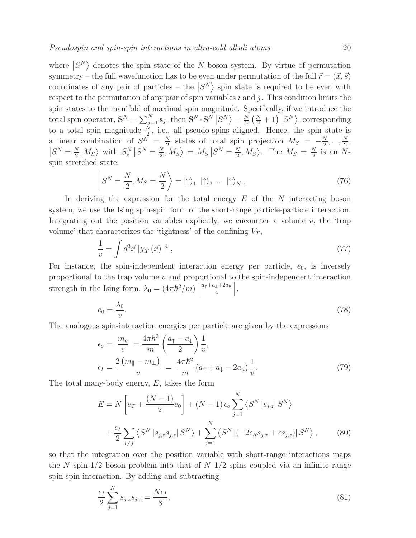respect to the permutation of any pair of spin variables  $i$  and  $j$ . This condition limits the spin states to the manifold of maximal spin magnitude. Specifically, if we introduce the total spin operator,  $\mathbf{S}^{N} = \sum_{j=1}^{N} \mathbf{s}_{j}$ , then  $\mathbf{S}^{N} \cdot \mathbf{S}^{N} | S^{N} \rangle = \frac{N}{2}$  $\frac{N}{2} \left( \frac{N}{2} + 1 \right) |S^N\rangle$ , corresponding to a total spin magnitude  $\frac{N}{2}$ , i.e., all pseudo-spins aligned. Hence, the spin state is a linear combination of  $S^N = \frac{N}{2}$  $\frac{N}{2}$  states of total spin projection  $M_S = -\frac{N}{2}$  $\frac{N}{2}, ..., \frac{N}{2}$  $\frac{N}{2}$  $S^N = \frac{N}{2}$  $\left\langle \frac{N}{2}, M_S \right\rangle$  with  $S_z^N | S^N = \frac{N}{2}$  $\left\langle \frac{N}{2}, M_S \right\rangle = M_S \left| S^N = \frac{N}{2} \right|$  $\frac{N}{2}, M_S$ . The  $M_S = \frac{N}{2}$  $\frac{N}{2}$  is an Nspin stretched state.

$$
\left| S^N = \frac{N}{2}, M_S = \frac{N}{2} \right\rangle = \left| \uparrow \right\rangle_1 \left| \uparrow \right\rangle_2 \dots \left| \uparrow \right\rangle_N, \tag{76}
$$

In deriving the expression for the total energy  $E$  of the  $N$  interacting boson system, we use the Ising spin-spin form of the short-range particle-particle interaction. Integrating out the position variables explicitly, we encounter a volume  $v$ , the 'trap volume' that characterizes the 'tightness' of the confining  $V_T$ ,

$$
\frac{1}{v} = \int d^3 \vec{x} \left[ \chi_T \left( \vec{x} \right) \right]^4 , \tag{77}
$$

For instance, the spin-independent interaction energy per particle,  $e_0$ , is inversely proportional to the trap volume  $v$  and proportional to the spin-independent interaction strength in the Ising form,  $\lambda_0 = (4\pi\hbar^2/m) \left[ \frac{a_1 + a_1 + 2a_u}{4} \right]$  $\frac{\downarrow + 2a_u}{4} \bigg],$ 

$$
e_0 = \frac{\lambda_0}{v}.\tag{78}
$$

The analogous spin-interaction energies per particle are given by the expressions

$$
\epsilon_o = \frac{m_o}{v} = \frac{4\pi\hbar^2}{m} \left(\frac{a_\uparrow - a_\downarrow}{2}\right) \frac{1}{v},
$$
\n
$$
\epsilon_I = \frac{2\left(m_\parallel - m_\perp\right)}{v} = \frac{4\pi\hbar^2}{m} \left(a_\uparrow + a_\downarrow - 2a_u\right) \frac{1}{v}.\tag{79}
$$

The total many-body energy, E, takes the form

$$
E = N \left[ e_T + \frac{(N-1)}{2} e_0 \right] + (N-1) \epsilon_o \sum_{j=1}^N \left\langle S^N | s_{j,z} | S^N \right\rangle
$$
  
+ 
$$
\frac{\epsilon_I}{2} \sum_{i \neq j} \left\langle S^N | s_{j,z} s_{j,z} | S^N \right\rangle + \sum_{j=1}^N \left\langle S^N | (-2\epsilon_R s_{j,x} + \epsilon s_{j,z}) | S^N \right\rangle, \tag{80}
$$

so that the integration over the position variable with short-range interactions maps the N spin-1/2 boson problem into that of  $N/1/2$  spins coupled via an infinite range spin-spin interaction. By adding and subtracting

$$
\frac{\epsilon_I}{2} \sum_{j=1}^N s_{j,z} s_{j,z} = \frac{N \epsilon_I}{8},\tag{81}
$$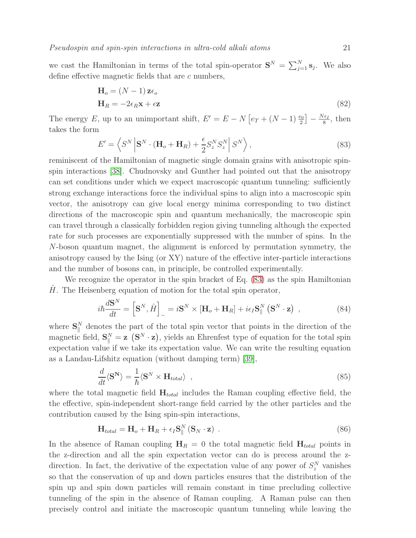we cast the Hamiltonian in terms of the total spin-operator  $S^N = \sum_{j=1}^N s_j$ . We also define effective magnetic fields that are c numbers,

$$
\mathbf{H}_o = (N-1)\mathbf{z}\epsilon_o
$$
  
\n
$$
\mathbf{H}_R = -2\epsilon_R \mathbf{x} + \epsilon \mathbf{z}
$$
\n(82)

The energy E, up to an unimportant shift,  $E' = E - N \left[ e_T + (N - 1) \frac{e_0}{2} \right] - \frac{N \epsilon_I}{8}$  $\frac{\epsilon_I}{8}$ , then takes the form

<span id="page-20-0"></span>
$$
E' = \left\langle S^N \left| \mathbf{S}^N \cdot (\mathbf{H}_o + \mathbf{H}_R) + \frac{\epsilon}{2} S_z^N S_z^N \right| S^N \right\rangle, \tag{83}
$$

reminiscent of the Hamiltonian of magnetic single domain grains with anisotropic spinspin interactions [\[38\]](#page-23-14). Chudnovsky and Gunther had pointed out that the anisotropy can set conditions under which we expect macroscopic quantum tunneling: sufficiently strong exchange interactions force the individual spins to align into a macroscopic spin vector, the anisotropy can give local energy minima corresponding to two distinct directions of the macroscopic spin and quantum mechanically, the macroscopic spin can travel through a classically forbidden region giving tunneling although the expected rate for such processes are exponentially suppressed with the number of spins. In the N-boson quantum magnet, the alignment is enforced by permutation symmetry, the anisotropy caused by the Ising (or XY) nature of the effective inter-particle interactions and the number of bosons can, in principle, be controlled experimentally.

We recognize the operator in the spin bracket of Eq. [\(83\)](#page-20-0) as the spin Hamiltonian  $H$ . The Heisenberg equation of motion for the total spin operator,

$$
i\hbar \frac{d\mathbf{S}^{N}}{dt} = \left[\mathbf{S}^{N}, \hat{H}\right]_{-} = i\mathbf{S}^{N} \times \left[\mathbf{H}_{o} + \mathbf{H}_{R}\right] + i\epsilon_{I}\mathbf{S}_{\parallel}^{N} \left(\mathbf{S}^{N} \cdot \mathbf{z}\right) , \qquad (84)
$$

where  $S_{\parallel}^N$  $\frac{N}{\parallel}$  denotes the part of the total spin vector that points in the direction of the magnetic field,  $S_{\parallel}^{N} = z \left( S^{N} \cdot z \right)$ , yields an Ehrenfest type of equation for the total spin expectation value if we take its expectation value. We can write the resulting equation as a Landau-Lifshitz equation (without damping term) [\[39\]](#page-23-15),

$$
\frac{d}{dt}\langle \mathbf{S}^{\mathbf{N}}\rangle = \frac{1}{\hbar}\langle \mathbf{S}^{N} \times \mathbf{H}_{total}\rangle , \qquad (85)
$$

where the total magnetic field  $H_{total}$  includes the Raman coupling effective field, the the effective, spin-independent short-range field carried by the other particles and the contribution caused by the Ising spin-spin interactions,

$$
\mathbf{H}_{total} = \mathbf{H}_o + \mathbf{H}_R + \epsilon_I \mathbf{S}_{\parallel}^N (\mathbf{S}_N \cdot \mathbf{z}) \tag{86}
$$

In the absence of Raman coupling  $H_R = 0$  the total magnetic field  $H_{total}$  points in the z-direction and all the spin expectation vector can do is precess around the zdirection. In fact, the derivative of the expectation value of any power of  $S_z^N$  vanishes so that the conservation of up and down particles ensures that the distribution of the spin up and spin down particles will remain constant in time precluding collective tunneling of the spin in the absence of Raman coupling. A Raman pulse can then precisely control and initiate the macroscopic quantum tunneling while leaving the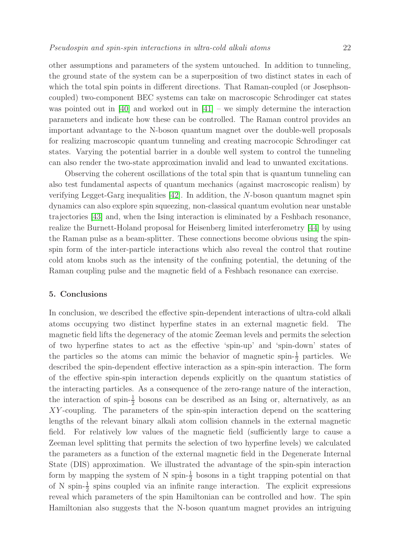other assumptions and parameters of the system untouched. In addition to tunneling, the ground state of the system can be a superposition of two distinct states in each of which the total spin points in different directions. That Raman-coupled (or Josephsoncoupled) two-component BEC systems can take on macroscopic Schrodinger cat states was pointed out in  $[40]$  and worked out in  $[41]$  – we simply determine the interaction parameters and indicate how these can be controlled. The Raman control provides an important advantage to the N-boson quantum magnet over the double-well proposals for realizing macroscopic quantum tunneling and creating macrocopic Schrodinger cat states. Varying the potential barrier in a double well system to control the tunneling can also render the two-state approximation invalid and lead to unwanted excitations.

Observing the coherent oscillations of the total spin that is quantum tunneling can also test fundamental aspects of quantum mechanics (against macroscopic realism) by verifying Legget-Garg inequalities [\[42\]](#page-23-18). In addition, the N-boson quantum magnet spin dynamics can also explore spin squeezing, non-classical quantum evolution near unstable trajectories [\[43\]](#page-23-19) and, when the Ising interaction is eliminated by a Feshbach resonance, realize the Burnett-Holand proposal for Heisenberg limited interferometry [\[44\]](#page-23-20) by using the Raman pulse as a beam-splitter. These connections become obvious using the spinspin form of the inter-particle interactions which also reveal the control that routine cold atom knobs such as the intensity of the confining potential, the detuning of the Raman coupling pulse and the magnetic field of a Feshbach resonance can exercise.

### 5. Conclusions

In conclusion, we described the effective spin-dependent interactions of ultra-cold alkali atoms occupying two distinct hyperfine states in an external magnetic field. The magnetic field lifts the degeneracy of the atomic Zeeman levels and permits the selection of two hyperfine states to act as the effective 'spin-up' and 'spin-down' states of the particles so the atoms can mimic the behavior of magnetic spin- $\frac{1}{2}$  particles. We described the spin-dependent effective interaction as a spin-spin interaction. The form of the effective spin-spin interaction depends explicitly on the quantum statistics of the interacting particles. As a consequence of the zero-range nature of the interaction, the interaction of spin- $\frac{1}{2}$  bosons can be described as an Ising or, alternatively, as an XY-coupling. The parameters of the spin-spin interaction depend on the scattering lengths of the relevant binary alkali atom collision channels in the external magnetic field. For relatively low values of the magnetic field (sufficiently large to cause a Zeeman level splitting that permits the selection of two hyperfine levels) we calculated the parameters as a function of the external magnetic field in the Degenerate Internal State (DIS) approximation. We illustrated the advantage of the spin-spin interaction form by mapping the system of N spin- $\frac{1}{2}$  bosons in a tight trapping potential on that of N spin- $\frac{1}{2}$  spins coupled via an infinite range interaction. The explicit expressions reveal which parameters of the spin Hamiltonian can be controlled and how. The spin Hamiltonian also suggests that the N-boson quantum magnet provides an intriguing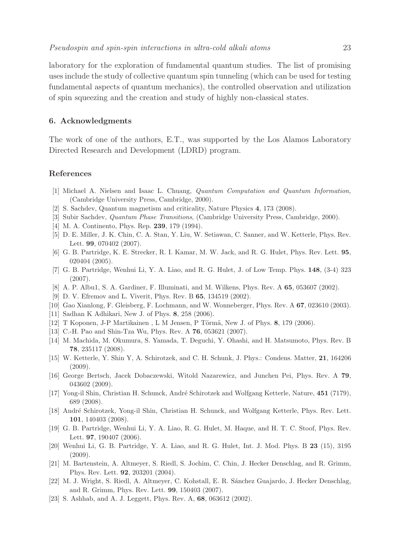laboratory for the exploration of fundamental quantum studies. The list of promising uses include the study of collective quantum spin tunneling (which can be used for testing fundamental aspects of quantum mechanics), the controlled observation and utilization of spin squeezing and the creation and study of highly non-classical states.

### 6. Acknowledgments

The work of one of the authors, E.T., was supported by the Los Alamos Laboratory Directed Research and Development (LDRD) program.

### <span id="page-22-0"></span>References

- <span id="page-22-1"></span>[1] Michael A. Nielsen and Isaac L. Chuang, Quantum Computation and Quantum Information, (Cambridge University Press, Cambridge, 2000).
- <span id="page-22-2"></span>[2] S. Sachdev, Quantum magnetism and criticality, Nature Physics 4, 173 (2008).
- <span id="page-22-3"></span>[3] Subir Sachdev, Quantum Phase Transitions, (Cambridge University Press, Cambridge, 2000).
- <span id="page-22-4"></span>[4] M. A. Continento, Phys. Rep. **239**, 179 (1994).
- <span id="page-22-5"></span>[5] D. E. Miller, J. K. Chin, C. A. Stan, Y. Liu, W. Setiawan, C. Sanner, and W. Ketterle, Phys. Rev. Lett. 99, 070402 (2007).
- <span id="page-22-6"></span>[6] G. B. Partridge, K. E. Strecker, R. I. Kamar, M. W. Jack, and R. G. Hulet, Phys. Rev. Lett. 95, 020404 (2005).
- <span id="page-22-7"></span>[7] G. B. Partridge, Wenhui Li, Y. A. Liao, and R. G. Hulet, J. of Low Temp. Phys. 148, (3-4) 323 (2007).
- <span id="page-22-8"></span>[8] A. P. Albu1, S. A. Gardiner, F. Illuminati, and M. Wilkens, Phys. Rev. A 65, 053607 (2002).
- <span id="page-22-9"></span>[9] D. V. Efremov and L. Viverit, Phys. Rev. B 65, 134519 (2002).
- <span id="page-22-10"></span>[10] Gao Xianlong, F. Gleisberg, F. Lochmann, and W. Wonneberger, Phys. Rev. A 67, 023610 (2003).
- <span id="page-22-11"></span>[11] Sadhan K Adhikari, New J. of Phys. 8, 258 (2006).
- <span id="page-22-12"></span> $[12]$  T Koponen, J-P Martikainen, L M Jensen, P Törmä, New J. of Phys. 8, 179 (2006).
- <span id="page-22-13"></span>[13] C.-H. Pao and Shin-Tza Wu, Phys. Rev. A 76, 053621 (2007).
- [14] M. Machida, M. Okumura, S. Yamada, T. Deguchi, Y. Ohashi, and H. Matsumoto, Phys. Rev. B 78, 235117 (2008).
- <span id="page-22-14"></span>[15] W. Ketterle, Y. Shin Y, A. Schirotzek, and C. H. Schunk, J. Phys.: Condens. Matter, 21, 164206 (2009).
- <span id="page-22-15"></span>[16] George Bertsch, Jacek Dobaczewski, Witold Nazarewicz, and Junchen Pei, Phys. Rev. A 79, 043602 (2009).
- <span id="page-22-16"></span>[17] Yong-il Shin, Christian H. Schunck, André Schirotzek and Wolfgang Ketterle, Nature, 451 (7179), 689 (2008).
- <span id="page-22-18"></span><span id="page-22-17"></span>[18] André Schirotzek, Yong-il Shin, Christian H. Schunck, and Wolfgang Ketterle, Phys. Rev. Lett. 101, 140403 (2008).
- <span id="page-22-19"></span>[19] G. B. Partridge, Wenhui Li, Y. A. Liao, R. G. Hulet, M. Haque, and H. T. C. Stoof, Phys. Rev. Lett. 97, 190407 (2006).
- [20] Wenhui Li, G. B. Partridge, Y. A. Liao, and R. G. Hulet, Int. J. Mod. Phys. B 23 (15), 3195 (2009).
- <span id="page-22-20"></span>[21] M. Bartenstein, A. Altmeyer, S. Riedl, S. Jochim, C. Chin, J. Hecker Denschlag, and R. Grimm, Phys. Rev. Lett. 92, 203201 (2004).
- <span id="page-22-21"></span>[22] M. J. Wright, S. Riedl, A. Altmeyer, C. Kohstall, E. R. S´anchez Guajardo, J. Hecker Denschlag, and R. Grimm, Phys. Rev. Lett. 99, 150403 (2007).
- <span id="page-22-22"></span>[23] S. Ashhab, and A. J. Leggett, Phys. Rev. A, 68, 063612 (2002).